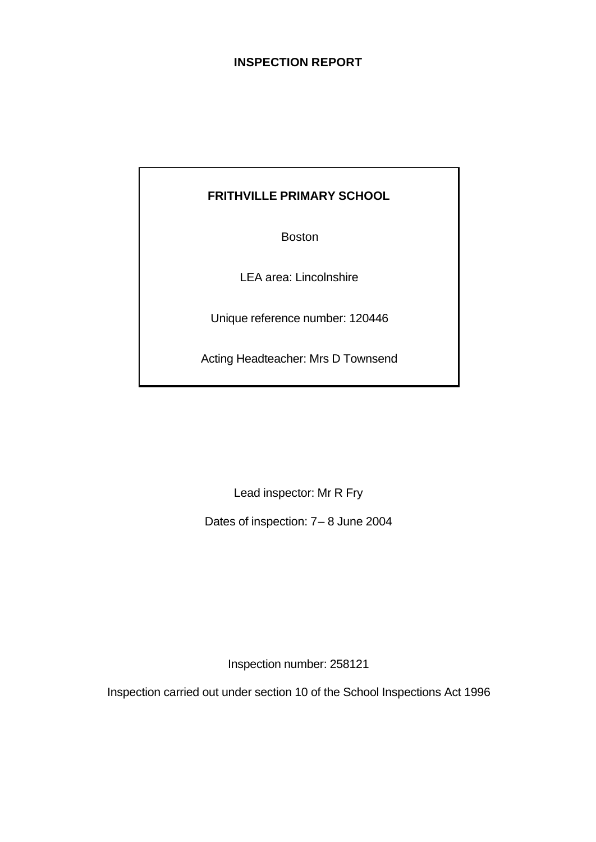## **INSPECTION REPORT**

# **FRITHVILLE PRIMARY SCHOOL**

Boston

LEA area: Lincolnshire

Unique reference number: 120446

Acting Headteacher: Mrs D Townsend

Lead inspector: Mr R Fry

Dates of inspection: 7– 8 June 2004

Inspection number: 258121

Inspection carried out under section 10 of the School Inspections Act 1996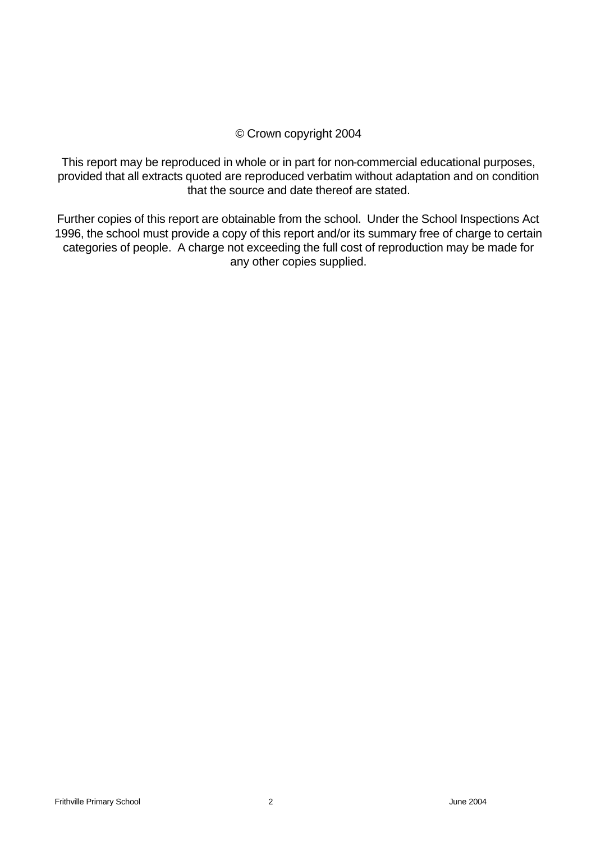# © Crown copyright 2004

This report may be reproduced in whole or in part for non-commercial educational purposes, provided that all extracts quoted are reproduced verbatim without adaptation and on condition that the source and date thereof are stated.

Further copies of this report are obtainable from the school. Under the School Inspections Act 1996, the school must provide a copy of this report and/or its summary free of charge to certain categories of people. A charge not exceeding the full cost of reproduction may be made for any other copies supplied.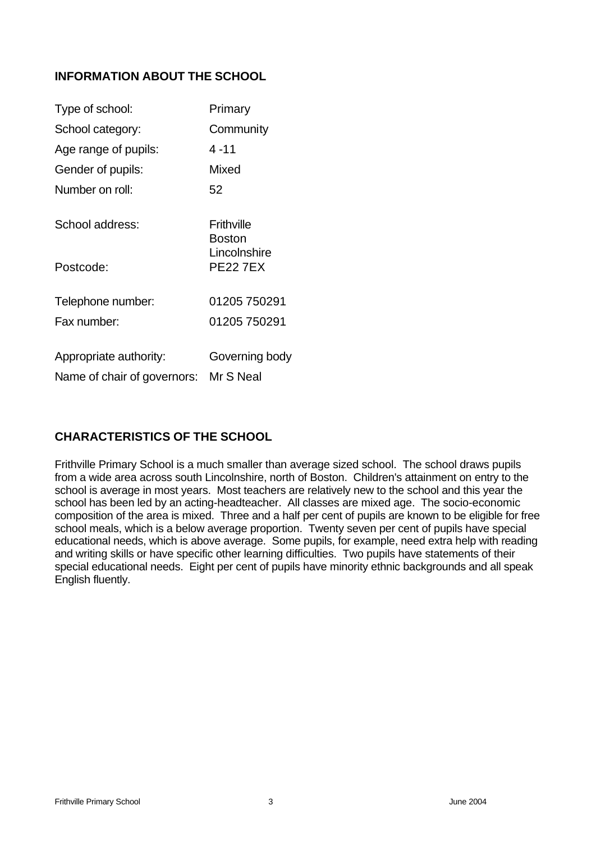# **INFORMATION ABOUT THE SCHOOL**

| Type of school:             | Primary                        |
|-----------------------------|--------------------------------|
| School category:            | Community                      |
| Age range of pupils:        | 4 - 11                         |
| Gender of pupils:           | Mixed                          |
| Number on roll:             | 52                             |
| School address:             | Frithville<br>Boston           |
| Postcode:                   | Lincolnshire<br><b>PE227EX</b> |
| Telephone number:           | 01205 750291                   |
| Fax number:                 | 01205 750291                   |
| Appropriate authority:      | Governing body                 |
| Name of chair of governors: | Mr S Neal                      |

# **CHARACTERISTICS OF THE SCHOOL**

Frithville Primary School is a much smaller than average sized school. The school draws pupils from a wide area across south Lincolnshire, north of Boston. Children's attainment on entry to the school is average in most years. Most teachers are relatively new to the school and this year the school has been led by an acting-headteacher. All classes are mixed age. The socio-economic composition of the area is mixed. Three and a half per cent of pupils are known to be eligible for free school meals, which is a below average proportion. Twenty seven per cent of pupils have special educational needs, which is above average. Some pupils, for example, need extra help with reading and writing skills or have specific other learning difficulties. Two pupils have statements of their special educational needs. Eight per cent of pupils have minority ethnic backgrounds and all speak English fluently.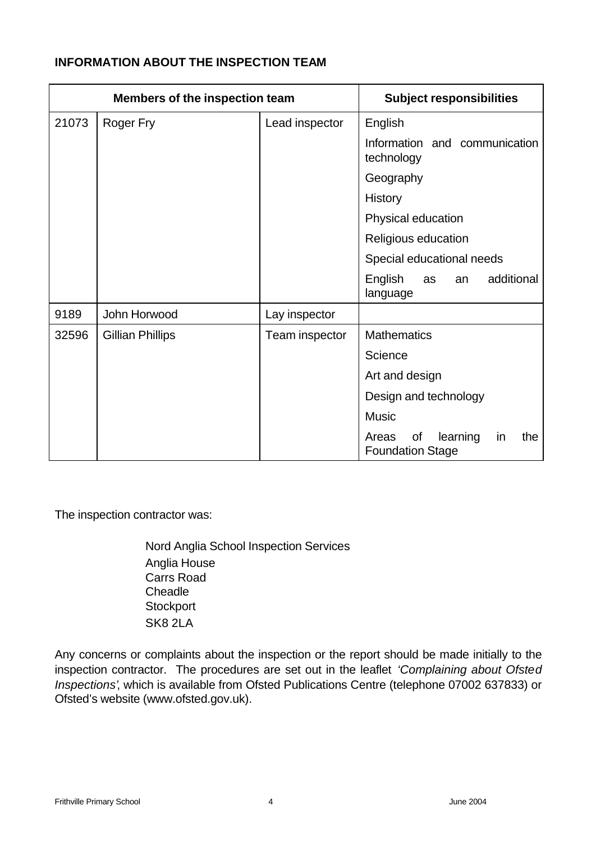# **INFORMATION ABOUT THE INSPECTION TEAM**

| Members of the inspection team |                         | <b>Subject responsibilities</b> |                                                                 |
|--------------------------------|-------------------------|---------------------------------|-----------------------------------------------------------------|
| 21073                          | Roger Fry               | Lead inspector                  | English                                                         |
|                                |                         |                                 | Information and communication<br>technology                     |
|                                |                         |                                 | Geography                                                       |
|                                |                         |                                 | History                                                         |
|                                |                         |                                 | Physical education                                              |
|                                |                         |                                 | Religious education                                             |
|                                |                         |                                 | Special educational needs                                       |
|                                |                         |                                 | additional<br>English<br>as<br>an<br>language                   |
| 9189                           | John Horwood            | Lay inspector                   |                                                                 |
| 32596                          | <b>Gillian Phillips</b> | Team inspector                  | <b>Mathematics</b>                                              |
|                                |                         |                                 | Science                                                         |
|                                |                         |                                 | Art and design                                                  |
|                                |                         |                                 | Design and technology                                           |
|                                |                         |                                 | <b>Music</b>                                                    |
|                                |                         |                                 | learning<br>of<br>the<br>Areas<br>in<br><b>Foundation Stage</b> |

The inspection contractor was:

Nord Anglia School Inspection Services Anglia House Carrs Road **Cheadle Stockport** SK8 2LA

Any concerns or complaints about the inspection or the report should be made initially to the inspection contractor. The procedures are set out in the leaflet *'Complaining about Ofsted Inspections'*, which is available from Ofsted Publications Centre (telephone 07002 637833) or Ofsted's website (www.ofsted.gov.uk).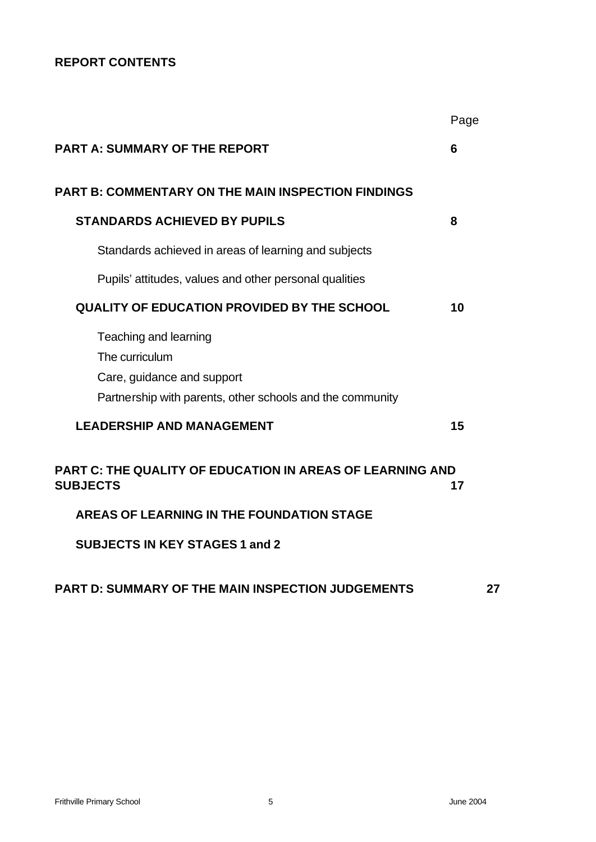# **REPORT CONTENTS**

|                                                                                                                                    | Page |
|------------------------------------------------------------------------------------------------------------------------------------|------|
| <b>PART A: SUMMARY OF THE REPORT</b>                                                                                               | 6    |
| <b>PART B: COMMENTARY ON THE MAIN INSPECTION FINDINGS</b>                                                                          |      |
| <b>STANDARDS ACHIEVED BY PUPILS</b>                                                                                                | 8    |
| Standards achieved in areas of learning and subjects                                                                               |      |
| Pupils' attitudes, values and other personal qualities                                                                             |      |
| <b>QUALITY OF EDUCATION PROVIDED BY THE SCHOOL</b>                                                                                 | 10   |
| Teaching and learning<br>The curriculum<br>Care, guidance and support<br>Partnership with parents, other schools and the community |      |
| <b>LEADERSHIP AND MANAGEMENT</b>                                                                                                   | 15   |
| <b>PART C: THE QUALITY OF EDUCATION IN AREAS OF LEARNING AND</b><br><b>SUBJECTS</b>                                                | 17   |
| AREAS OF LEARNING IN THE FOUNDATION STAGE                                                                                          |      |
| <b>SUBJECTS IN KEY STAGES 1 and 2</b>                                                                                              |      |
|                                                                                                                                    |      |

# **PART D: SUMMARY OF THE MAIN INSPECTION JUDGEMENTS 27**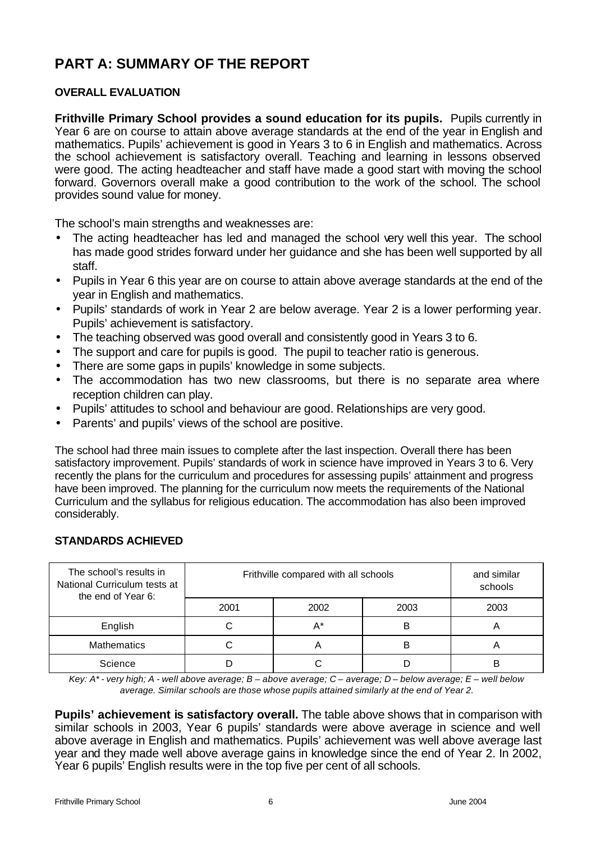# **PART A: SUMMARY OF THE REPORT**

### **OVERALL EVALUATION**

**Frithville Primary School provides a sound education for its pupils.** Pupils currently in Year 6 are on course to attain above average standards at the end of the year in English and mathematics. Pupils' achievement is good in Years 3 to 6 in English and mathematics. Across the school achievement is satisfactory overall. Teaching and learning in lessons observed were good. The acting headteacher and staff have made a good start with moving the school forward. Governors overall make a good contribution to the work of the school. The school provides sound value for money.

The school's main strengths and weaknesses are:

- The acting headteacher has led and managed the school very well this year. The school has made good strides forward under her guidance and she has been well supported by all staff.
- Pupils in Year 6 this year are on course to attain above average standards at the end of the year in English and mathematics.
- Pupils' standards of work in Year 2 are below average. Year 2 is a lower performing year. Pupils' achievement is satisfactory.
- The teaching observed was good overall and consistently good in Years 3 to 6.
- The support and care for pupils is good. The pupil to teacher ratio is generous.
- There are some gaps in pupils' knowledge in some subjects.
- The accommodation has two new classrooms, but there is no separate area where reception children can play.
- Pupils' attitudes to school and behaviour are good. Relationships are very good.
- Parents' and pupils' views of the school are positive.

The school had three main issues to complete after the last inspection. Overall there has been satisfactory improvement. Pupils' standards of work in science have improved in Years 3 to 6. Very recently the plans for the curriculum and procedures for assessing pupils' attainment and progress have been improved. The planning for the curriculum now meets the requirements of the National Curriculum and the syllabus for religious education. The accommodation has also been improved considerably.

#### Frithville compared with all schools and similar schools The school's results in National Curriculum tests at the end of Year 6: 2001 2002 2003 2003 English | C | A\* | B | A Mathematics C A B A Science | D | C | D | B

### **STANDARDS ACHIEVED**

*Key: A\* - very high; A - well above average; B – above average; C – average; D – below average; E – well below average. Similar schools are those whose pupils attained similarly at the end of Year 2.*

**Pupils' achievement is satisfactory overall.** The table above shows that in comparison with similar schools in 2003, Year 6 pupils' standards were above average in science and well above average in English and mathematics. Pupils' achievement was well above average last year and they made well above average gains in knowledge since the end of Year 2. In 2002, Year 6 pupils' English results were in the top five per cent of all schools.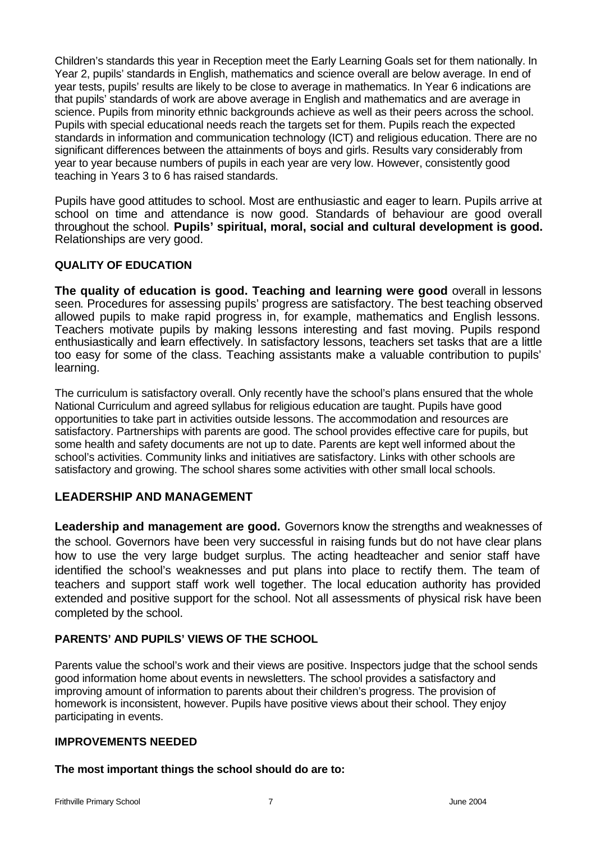Children's standards this year in Reception meet the Early Learning Goals set for them nationally. In Year 2, pupils' standards in English, mathematics and science overall are below average. In end of year tests, pupils' results are likely to be close to average in mathematics. In Year 6 indications are that pupils' standards of work are above average in English and mathematics and are average in science. Pupils from minority ethnic backgrounds achieve as well as their peers across the school. Pupils with special educational needs reach the targets set for them. Pupils reach the expected standards in information and communication technology (ICT) and religious education. There are no significant differences between the attainments of boys and girls. Results vary considerably from year to year because numbers of pupils in each year are very low. However, consistently good teaching in Years 3 to 6 has raised standards.

Pupils have good attitudes to school. Most are enthusiastic and eager to learn. Pupils arrive at school on time and attendance is now good. Standards of behaviour are good overall throughout the school. **Pupils' spiritual, moral, social and cultural development is good.** Relationships are very good.

### **QUALITY OF EDUCATION**

**The quality of education is good. Teaching and learning were good** overall in lessons seen. Procedures for assessing pupils' progress are satisfactory. The best teaching observed allowed pupils to make rapid progress in, for example, mathematics and English lessons. Teachers motivate pupils by making lessons interesting and fast moving. Pupils respond enthusiastically and learn effectively. In satisfactory lessons, teachers set tasks that are a little too easy for some of the class. Teaching assistants make a valuable contribution to pupils' learning.

The curriculum is satisfactory overall. Only recently have the school's plans ensured that the whole National Curriculum and agreed syllabus for religious education are taught. Pupils have good opportunities to take part in activities outside lessons. The accommodation and resources are satisfactory. Partnerships with parents are good. The school provides effective care for pupils, but some health and safety documents are not up to date. Parents are kept well informed about the school's activities. Community links and initiatives are satisfactory. Links with other schools are satisfactory and growing. The school shares some activities with other small local schools.

# **LEADERSHIP AND MANAGEMENT**

**Leadership and management are good.** Governors know the strengths and weaknesses of the school. Governors have been very successful in raising funds but do not have clear plans how to use the very large budget surplus. The acting headteacher and senior staff have identified the school's weaknesses and put plans into place to rectify them. The team of teachers and support staff work well together. The local education authority has provided extended and positive support for the school. Not all assessments of physical risk have been completed by the school.

# **PARENTS' AND PUPILS' VIEWS OF THE SCHOOL**

Parents value the school's work and their views are positive. Inspectors judge that the school sends good information home about events in newsletters. The school provides a satisfactory and improving amount of information to parents about their children's progress. The provision of homework is inconsistent, however. Pupils have positive views about their school. They enjoy participating in events.

### **IMPROVEMENTS NEEDED**

#### **The most important things the school should do are to:**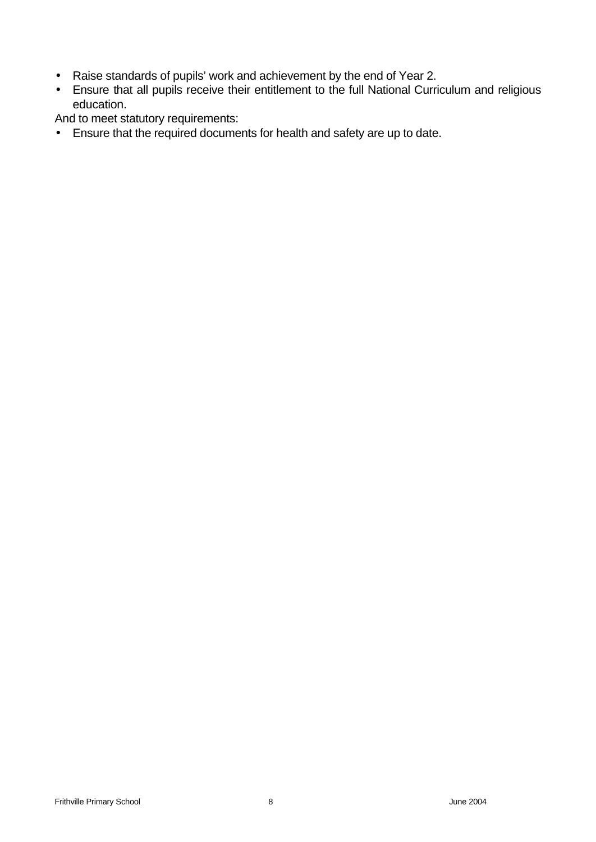- Raise standards of pupils' work and achievement by the end of Year 2.
- Ensure that all pupils receive their entitlement to the full National Curriculum and religious education.

And to meet statutory requirements:

• Ensure that the required documents for health and safety are up to date.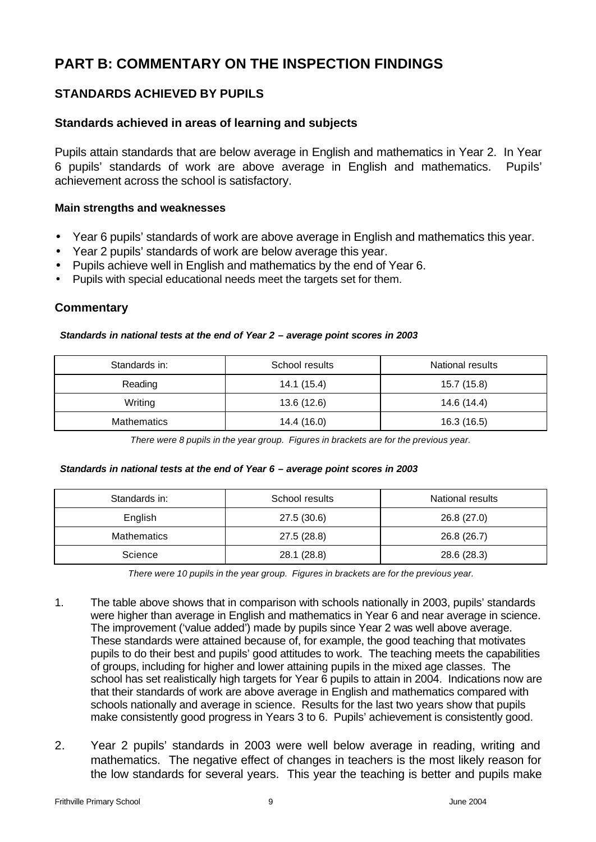# **PART B: COMMENTARY ON THE INSPECTION FINDINGS**

# **STANDARDS ACHIEVED BY PUPILS**

### **Standards achieved in areas of learning and subjects**

Pupils attain standards that are below average in English and mathematics in Year 2. In Year 6 pupils' standards of work are above average in English and mathematics. Pupils' achievement across the school is satisfactory.

#### **Main strengths and weaknesses**

- Year 6 pupils' standards of work are above average in English and mathematics this year.
- Year 2 pupils' standards of work are below average this year.
- Pupils achieve well in English and mathematics by the end of Year 6.
- Pupils with special educational needs meet the targets set for them.

### **Commentary**

#### *Standards in national tests at the end of Year 2 – average point scores in 2003*

| Standards in:      | School results | National results |
|--------------------|----------------|------------------|
| Reading            | 14.1 (15.4)    | 15.7 (15.8)      |
| Writing            | 13.6 (12.6)    | 14.6 (14.4)      |
| <b>Mathematics</b> | 14.4 (16.0)    | 16.3 (16.5)      |

*There were 8 pupils in the year group. Figures in brackets are for the previous year.*

#### *Standards in national tests at the end of Year 6 – average point scores in 2003*

| Standards in: | School results | National results |
|---------------|----------------|------------------|
| English       | 27.5 (30.6)    | 26.8 (27.0)      |
| Mathematics   | 27.5 (28.8)    | 26.8 (26.7)      |
| Science       | 28.1 (28.8)    | 28.6 (28.3)      |

*There were 10 pupils in the year group. Figures in brackets are for the previous year.*

- 1. The table above shows that in comparison with schools nationally in 2003, pupils' standards were higher than average in English and mathematics in Year 6 and near average in science. The improvement ('value added') made by pupils since Year 2 was well above average. These standards were attained because of, for example, the good teaching that motivates pupils to do their best and pupils' good attitudes to work. The teaching meets the capabilities of groups, including for higher and lower attaining pupils in the mixed age classes. The school has set realistically high targets for Year 6 pupils to attain in 2004. Indications now are that their standards of work are above average in English and mathematics compared with schools nationally and average in science. Results for the last two years show that pupils make consistently good progress in Years 3 to 6. Pupils' achievement is consistently good.
- 2. Year 2 pupils' standards in 2003 were well below average in reading, writing and mathematics. The negative effect of changes in teachers is the most likely reason for the low standards for several years. This year the teaching is better and pupils make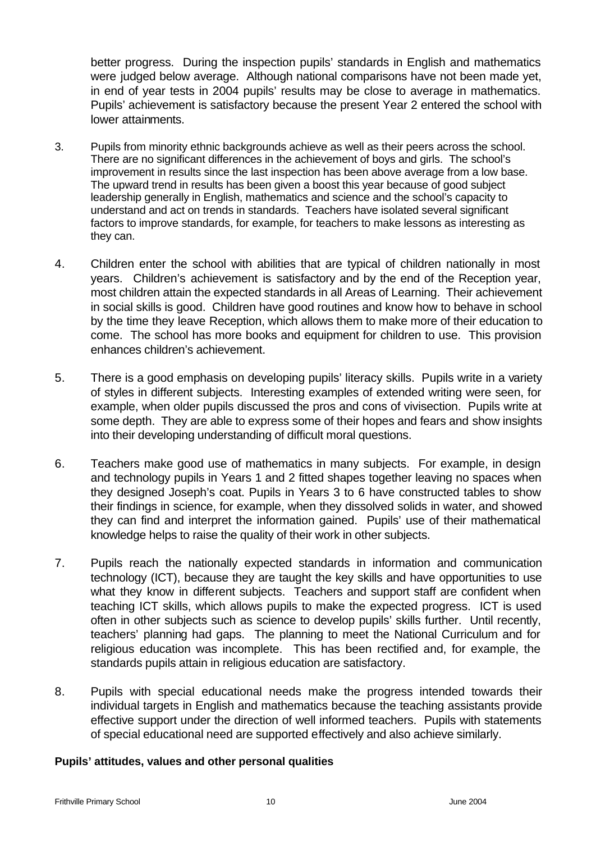better progress. During the inspection pupils' standards in English and mathematics were judged below average. Although national comparisons have not been made yet, in end of year tests in 2004 pupils' results may be close to average in mathematics. Pupils' achievement is satisfactory because the present Year 2 entered the school with lower attainments.

- 3. Pupils from minority ethnic backgrounds achieve as well as their peers across the school. There are no significant differences in the achievement of boys and girls. The school's improvement in results since the last inspection has been above average from a low base. The upward trend in results has been given a boost this year because of good subject leadership generally in English, mathematics and science and the school's capacity to understand and act on trends in standards. Teachers have isolated several significant factors to improve standards, for example, for teachers to make lessons as interesting as they can.
- 4. Children enter the school with abilities that are typical of children nationally in most years. Children's achievement is satisfactory and by the end of the Reception year, most children attain the expected standards in all Areas of Learning. Their achievement in social skills is good. Children have good routines and know how to behave in school by the time they leave Reception, which allows them to make more of their education to come. The school has more books and equipment for children to use. This provision enhances children's achievement.
- 5. There is a good emphasis on developing pupils' literacy skills. Pupils write in a variety of styles in different subjects. Interesting examples of extended writing were seen, for example, when older pupils discussed the pros and cons of vivisection. Pupils write at some depth. They are able to express some of their hopes and fears and show insights into their developing understanding of difficult moral questions.
- 6. Teachers make good use of mathematics in many subjects. For example, in design and technology pupils in Years 1 and 2 fitted shapes together leaving no spaces when they designed Joseph's coat. Pupils in Years 3 to 6 have constructed tables to show their findings in science, for example, when they dissolved solids in water, and showed they can find and interpret the information gained. Pupils' use of their mathematical knowledge helps to raise the quality of their work in other subjects.
- 7. Pupils reach the nationally expected standards in information and communication technology (ICT), because they are taught the key skills and have opportunities to use what they know in different subjects. Teachers and support staff are confident when teaching ICT skills, which allows pupils to make the expected progress. ICT is used often in other subjects such as science to develop pupils' skills further. Until recently, teachers' planning had gaps. The planning to meet the National Curriculum and for religious education was incomplete. This has been rectified and, for example, the standards pupils attain in religious education are satisfactory.
- 8. Pupils with special educational needs make the progress intended towards their individual targets in English and mathematics because the teaching assistants provide effective support under the direction of well informed teachers. Pupils with statements of special educational need are supported effectively and also achieve similarly.

### **Pupils' attitudes, values and other personal qualities**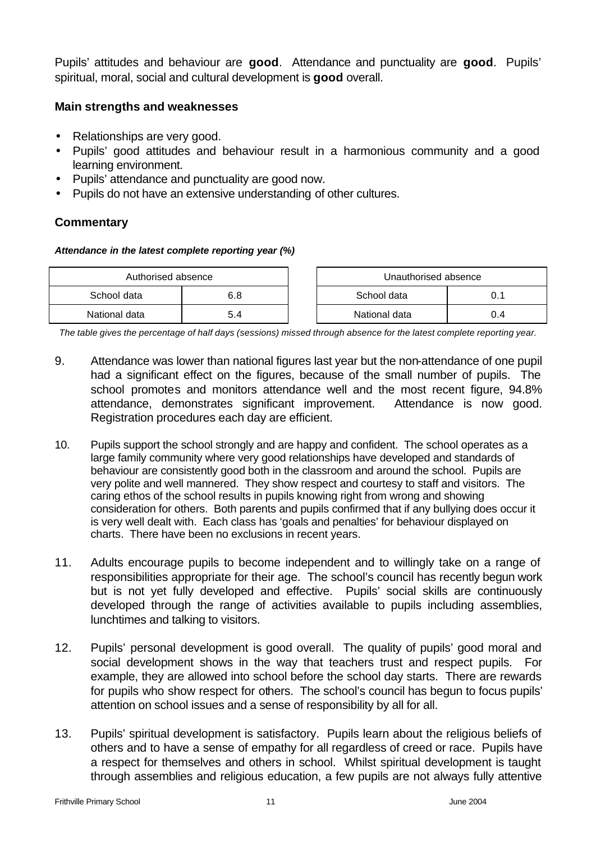Pupils' attitudes and behaviour are **good**. Attendance and punctuality are **good**. Pupils' spiritual, moral, social and cultural development is **good** overall.

### **Main strengths and weaknesses**

- Relationships are very good.
- Pupils' good attitudes and behaviour result in a harmonious community and a good learning environment.
- Pupils' attendance and punctuality are good now.
- Pupils do not have an extensive understanding of other cultures.

# **Commentary**

#### *Attendance in the latest complete reporting year (%)*

| Authorised absence |     | Unauthorised absence |     |
|--------------------|-----|----------------------|-----|
| School data        | 6.8 | School data          |     |
| National data      | 54  | National data        | 0.4 |

*The table gives the percentage of half days (sessions) missed through absence for the latest complete reporting year.*

- 9. Attendance was lower than national figures last year but the non-attendance of one pupil had a significant effect on the figures, because of the small number of pupils. The school promotes and monitors attendance well and the most recent figure, 94.8% attendance, demonstrates significant improvement. Attendance is now good. Registration procedures each day are efficient.
- 10. Pupils support the school strongly and are happy and confident. The school operates as a large family community where very good relationships have developed and standards of behaviour are consistently good both in the classroom and around the school. Pupils are very polite and well mannered. They show respect and courtesy to staff and visitors. The caring ethos of the school results in pupils knowing right from wrong and showing consideration for others. Both parents and pupils confirmed that if any bullying does occur it is very well dealt with. Each class has 'goals and penalties' for behaviour displayed on charts. There have been no exclusions in recent years.
- 11. Adults encourage pupils to become independent and to willingly take on a range of responsibilities appropriate for their age. The school's council has recently begun work but is not yet fully developed and effective. Pupils' social skills are continuously developed through the range of activities available to pupils including assemblies, lunchtimes and talking to visitors.
- 12. Pupils' personal development is good overall. The quality of pupils' good moral and social development shows in the way that teachers trust and respect pupils. For example, they are allowed into school before the school day starts. There are rewards for pupils who show respect for others. The school's council has begun to focus pupils' attention on school issues and a sense of responsibility by all for all.
- 13. Pupils' spiritual development is satisfactory. Pupils learn about the religious beliefs of others and to have a sense of empathy for all regardless of creed or race. Pupils have a respect for themselves and others in school. Whilst spiritual development is taught through assemblies and religious education, a few pupils are not always fully attentive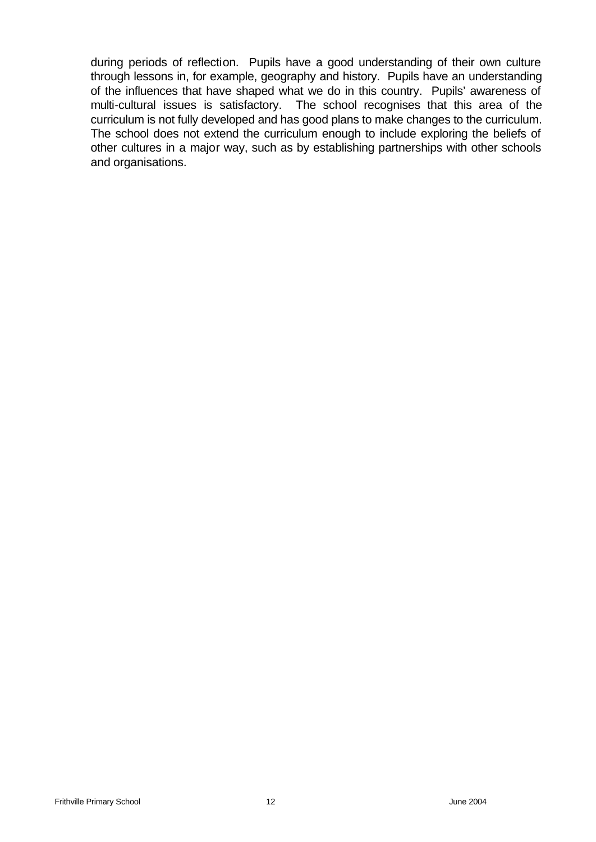during periods of reflection. Pupils have a good understanding of their own culture through lessons in, for example, geography and history. Pupils have an understanding of the influences that have shaped what we do in this country. Pupils' awareness of multi-cultural issues is satisfactory. The school recognises that this area of the curriculum is not fully developed and has good plans to make changes to the curriculum. The school does not extend the curriculum enough to include exploring the beliefs of other cultures in a major way, such as by establishing partnerships with other schools and organisations.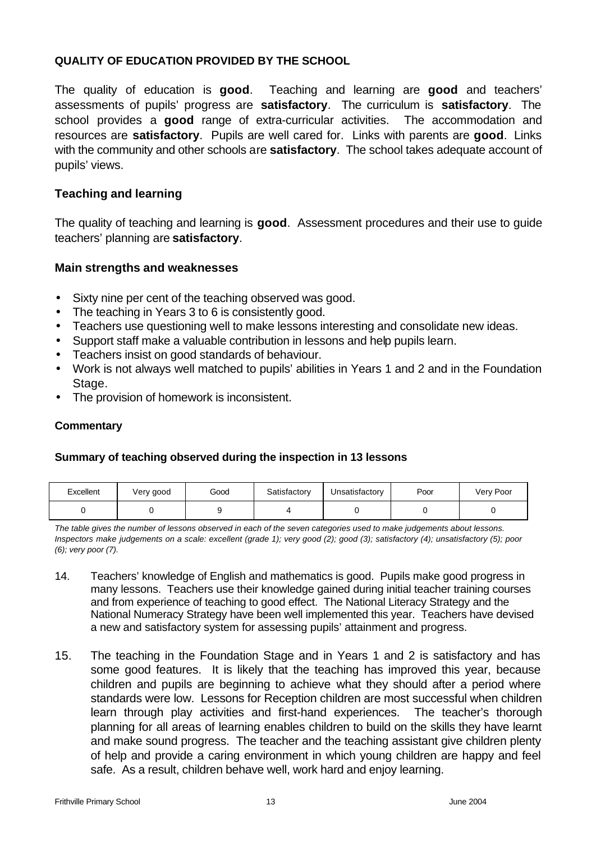### **QUALITY OF EDUCATION PROVIDED BY THE SCHOOL**

The quality of education is **good**. Teaching and learning are **good** and teachers' assessments of pupils' progress are **satisfactory**. The curriculum is **satisfactory**. The school provides a **good** range of extra-curricular activities. The accommodation and resources are **satisfactory**. Pupils are well cared for. Links with parents are **good**. Links with the community and other schools are **satisfactory**. The school takes adequate account of pupils' views.

## **Teaching and learning**

The quality of teaching and learning is **good**. Assessment procedures and their use to guide teachers' planning are **satisfactory**.

### **Main strengths and weaknesses**

- Sixty nine per cent of the teaching observed was good.
- The teaching in Years 3 to 6 is consistently good.
- Teachers use questioning well to make lessons interesting and consolidate new ideas.
- Support staff make a valuable contribution in lessons and help pupils learn.
- Teachers insist on good standards of behaviour.
- Work is not always well matched to pupils' abilities in Years 1 and 2 and in the Foundation Stage.
- The provision of homework is inconsistent.

### **Commentary**

### **Summary of teaching observed during the inspection in 13 lessons**

| Excellent | Very good | Good | Satisfactory | Jnsatisfactory | Poor | Very Poor |
|-----------|-----------|------|--------------|----------------|------|-----------|
|           |           |      |              |                |      |           |

*The table gives the number of lessons observed in each of the seven categories used to make judgements about lessons. Inspectors make judgements on a scale: excellent (grade 1); very good (2); good (3); satisfactory (4); unsatisfactory (5); poor (6); very poor (7).*

- 14. Teachers' knowledge of English and mathematics is good. Pupils make good progress in many lessons. Teachers use their knowledge gained during initial teacher training courses and from experience of teaching to good effect. The National Literacy Strategy and the National Numeracy Strategy have been well implemented this year. Teachers have devised a new and satisfactory system for assessing pupils' attainment and progress.
- 15. The teaching in the Foundation Stage and in Years 1 and 2 is satisfactory and has some good features. It is likely that the teaching has improved this year, because children and pupils are beginning to achieve what they should after a period where standards were low. Lessons for Reception children are most successful when children learn through play activities and first-hand experiences. The teacher's thorough planning for all areas of learning enables children to build on the skills they have learnt and make sound progress. The teacher and the teaching assistant give children plenty of help and provide a caring environment in which young children are happy and feel safe. As a result, children behave well, work hard and enjoy learning.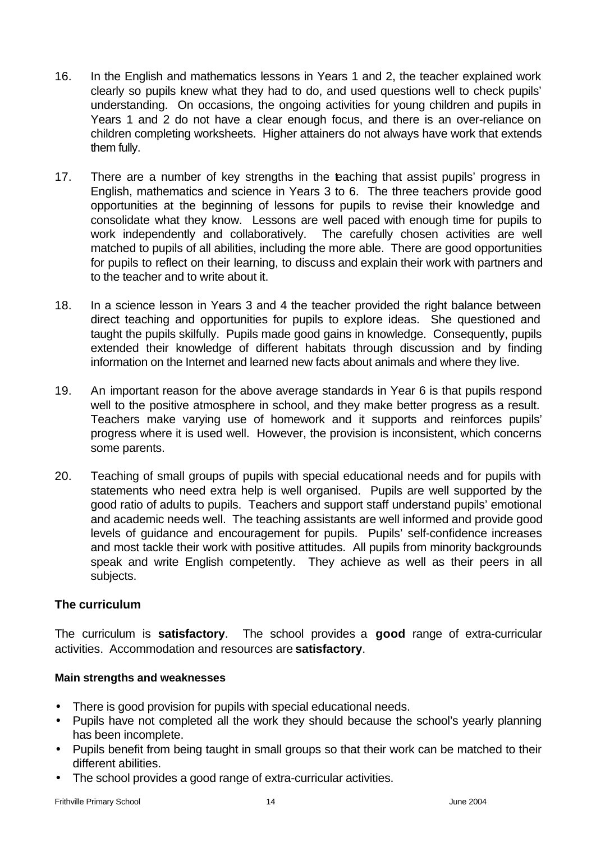- 16. In the English and mathematics lessons in Years 1 and 2, the teacher explained work clearly so pupils knew what they had to do, and used questions well to check pupils' understanding. On occasions, the ongoing activities for young children and pupils in Years 1 and 2 do not have a clear enough focus, and there is an over-reliance on children completing worksheets. Higher attainers do not always have work that extends them fully.
- 17. There are a number of key strengths in the teaching that assist pupils' progress in English, mathematics and science in Years 3 to 6. The three teachers provide good opportunities at the beginning of lessons for pupils to revise their knowledge and consolidate what they know. Lessons are well paced with enough time for pupils to work independently and collaboratively. The carefully chosen activities are well matched to pupils of all abilities, including the more able. There are good opportunities for pupils to reflect on their learning, to discuss and explain their work with partners and to the teacher and to write about it.
- 18. In a science lesson in Years 3 and 4 the teacher provided the right balance between direct teaching and opportunities for pupils to explore ideas. She questioned and taught the pupils skilfully. Pupils made good gains in knowledge. Consequently, pupils extended their knowledge of different habitats through discussion and by finding information on the Internet and learned new facts about animals and where they live.
- 19. An important reason for the above average standards in Year 6 is that pupils respond well to the positive atmosphere in school, and they make better progress as a result. Teachers make varying use of homework and it supports and reinforces pupils' progress where it is used well. However, the provision is inconsistent, which concerns some parents.
- 20. Teaching of small groups of pupils with special educational needs and for pupils with statements who need extra help is well organised. Pupils are well supported by the good ratio of adults to pupils. Teachers and support staff understand pupils' emotional and academic needs well. The teaching assistants are well informed and provide good levels of guidance and encouragement for pupils. Pupils' self-confidence increases and most tackle their work with positive attitudes. All pupils from minority backgrounds speak and write English competently. They achieve as well as their peers in all subjects.

# **The curriculum**

The curriculum is **satisfactory**. The school provides a **good** range of extra-curricular activities. Accommodation and resources are **satisfactory**.

### **Main strengths and weaknesses**

- There is good provision for pupils with special educational needs.
- Pupils have not completed all the work they should because the school's yearly planning has been incomplete.
- Pupils benefit from being taught in small groups so that their work can be matched to their different abilities.
- The school provides a good range of extra-curricular activities.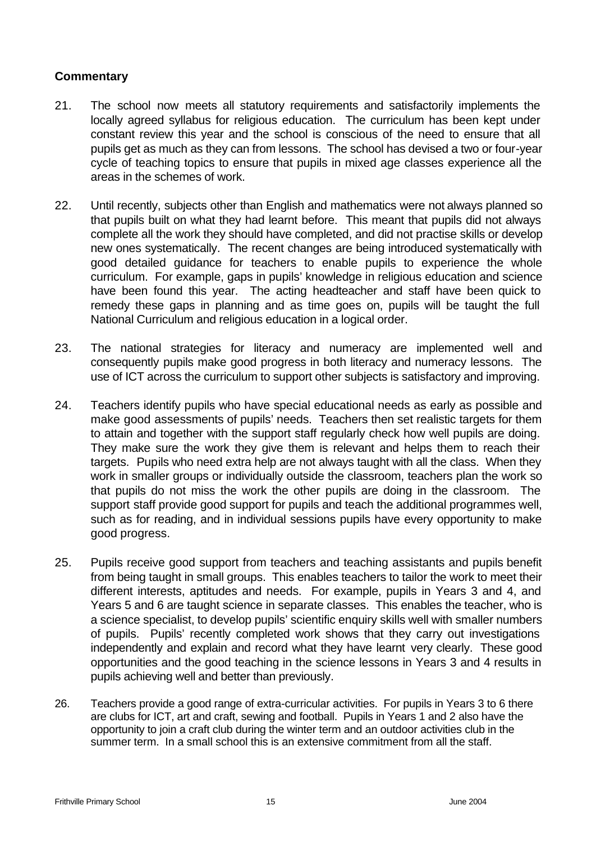- 21. The school now meets all statutory requirements and satisfactorily implements the locally agreed syllabus for religious education. The curriculum has been kept under constant review this year and the school is conscious of the need to ensure that all pupils get as much as they can from lessons. The school has devised a two or four-year cycle of teaching topics to ensure that pupils in mixed age classes experience all the areas in the schemes of work.
- 22. Until recently, subjects other than English and mathematics were not always planned so that pupils built on what they had learnt before. This meant that pupils did not always complete all the work they should have completed, and did not practise skills or develop new ones systematically. The recent changes are being introduced systematically with good detailed guidance for teachers to enable pupils to experience the whole curriculum. For example, gaps in pupils' knowledge in religious education and science have been found this year. The acting headteacher and staff have been quick to remedy these gaps in planning and as time goes on, pupils will be taught the full National Curriculum and religious education in a logical order.
- 23. The national strategies for literacy and numeracy are implemented well and consequently pupils make good progress in both literacy and numeracy lessons. The use of ICT across the curriculum to support other subjects is satisfactory and improving.
- 24. Teachers identify pupils who have special educational needs as early as possible and make good assessments of pupils' needs. Teachers then set realistic targets for them to attain and together with the support staff regularly check how well pupils are doing. They make sure the work they give them is relevant and helps them to reach their targets. Pupils who need extra help are not always taught with all the class. When they work in smaller groups or individually outside the classroom, teachers plan the work so that pupils do not miss the work the other pupils are doing in the classroom. The support staff provide good support for pupils and teach the additional programmes well, such as for reading, and in individual sessions pupils have every opportunity to make good progress.
- 25. Pupils receive good support from teachers and teaching assistants and pupils benefit from being taught in small groups. This enables teachers to tailor the work to meet their different interests, aptitudes and needs. For example, pupils in Years 3 and 4, and Years 5 and 6 are taught science in separate classes. This enables the teacher, who is a science specialist, to develop pupils' scientific enquiry skills well with smaller numbers of pupils. Pupils' recently completed work shows that they carry out investigations independently and explain and record what they have learnt very clearly. These good opportunities and the good teaching in the science lessons in Years 3 and 4 results in pupils achieving well and better than previously.
- 26. Teachers provide a good range of extra-curricular activities. For pupils in Years 3 to 6 there are clubs for ICT, art and craft, sewing and football. Pupils in Years 1 and 2 also have the opportunity to join a craft club during the winter term and an outdoor activities club in the summer term. In a small school this is an extensive commitment from all the staff.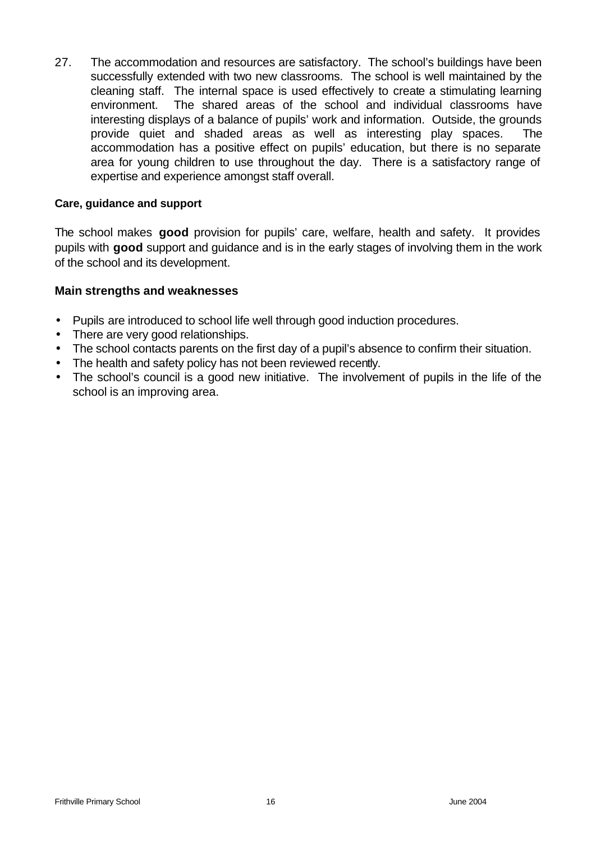27. The accommodation and resources are satisfactory. The school's buildings have been successfully extended with two new classrooms. The school is well maintained by the cleaning staff. The internal space is used effectively to create a stimulating learning environment. The shared areas of the school and individual classrooms have interesting displays of a balance of pupils' work and information. Outside, the grounds provide quiet and shaded areas as well as interesting play spaces. The accommodation has a positive effect on pupils' education, but there is no separate area for young children to use throughout the day. There is a satisfactory range of expertise and experience amongst staff overall.

#### **Care, guidance and support**

The school makes **good** provision for pupils' care, welfare, health and safety. It provides pupils with **good** support and guidance and is in the early stages of involving them in the work of the school and its development.

### **Main strengths and weaknesses**

- Pupils are introduced to school life well through good induction procedures.
- There are very good relationships.
- The school contacts parents on the first day of a pupil's absence to confirm their situation.
- The health and safety policy has not been reviewed recently.
- The school's council is a good new initiative. The involvement of pupils in the life of the school is an improving area.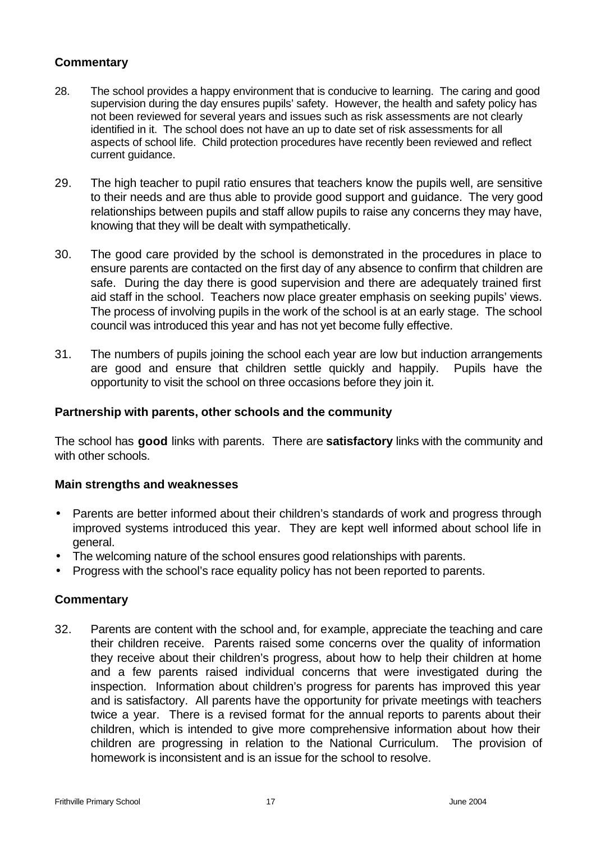# **Commentary**

- 28. The school provides a happy environment that is conducive to learning. The caring and good supervision during the day ensures pupils' safety. However, the health and safety policy has not been reviewed for several years and issues such as risk assessments are not clearly identified in it. The school does not have an up to date set of risk assessments for all aspects of school life. Child protection procedures have recently been reviewed and reflect current guidance.
- 29. The high teacher to pupil ratio ensures that teachers know the pupils well, are sensitive to their needs and are thus able to provide good support and guidance. The very good relationships between pupils and staff allow pupils to raise any concerns they may have, knowing that they will be dealt with sympathetically.
- 30. The good care provided by the school is demonstrated in the procedures in place to ensure parents are contacted on the first day of any absence to confirm that children are safe. During the day there is good supervision and there are adequately trained first aid staff in the school. Teachers now place greater emphasis on seeking pupils' views. The process of involving pupils in the work of the school is at an early stage. The school council was introduced this year and has not yet become fully effective.
- 31. The numbers of pupils joining the school each year are low but induction arrangements are good and ensure that children settle quickly and happily. Pupils have the opportunity to visit the school on three occasions before they join it.

### **Partnership with parents, other schools and the community**

The school has **good** links with parents. There are **satisfactory** links with the community and with other schools.

### **Main strengths and weaknesses**

- Parents are better informed about their children's standards of work and progress through improved systems introduced this year. They are kept well informed about school life in general.
- The welcoming nature of the school ensures good relationships with parents.
- Progress with the school's race equality policy has not been reported to parents.

#### **Commentary**

32. Parents are content with the school and, for example, appreciate the teaching and care their children receive. Parents raised some concerns over the quality of information they receive about their children's progress, about how to help their children at home and a few parents raised individual concerns that were investigated during the inspection. Information about children's progress for parents has improved this year and is satisfactory. All parents have the opportunity for private meetings with teachers twice a year. There is a revised format for the annual reports to parents about their children, which is intended to give more comprehensive information about how their children are progressing in relation to the National Curriculum. The provision of homework is inconsistent and is an issue for the school to resolve.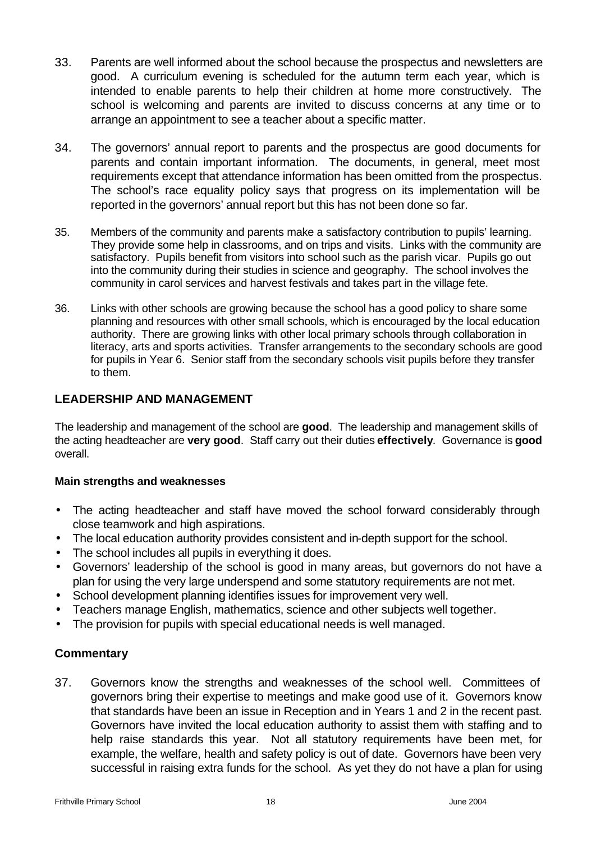- 33. Parents are well informed about the school because the prospectus and newsletters are good. A curriculum evening is scheduled for the autumn term each year, which is intended to enable parents to help their children at home more constructively. The school is welcoming and parents are invited to discuss concerns at any time or to arrange an appointment to see a teacher about a specific matter.
- 34. The governors' annual report to parents and the prospectus are good documents for parents and contain important information. The documents, in general, meet most requirements except that attendance information has been omitted from the prospectus. The school's race equality policy says that progress on its implementation will be reported in the governors' annual report but this has not been done so far.
- 35. Members of the community and parents make a satisfactory contribution to pupils' learning. They provide some help in classrooms, and on trips and visits. Links with the community are satisfactory. Pupils benefit from visitors into school such as the parish vicar. Pupils go out into the community during their studies in science and geography. The school involves the community in carol services and harvest festivals and takes part in the village fete.
- 36. Links with other schools are growing because the school has a good policy to share some planning and resources with other small schools, which is encouraged by the local education authority. There are growing links with other local primary schools through collaboration in literacy, arts and sports activities. Transfer arrangements to the secondary schools are good for pupils in Year 6. Senior staff from the secondary schools visit pupils before they transfer to them.

# **LEADERSHIP AND MANAGEMENT**

The leadership and management of the school are **good**. The leadership and management skills of the acting headteacher are **very good**. Staff carry out their duties **effectively**. Governance is **good** overall.

### **Main strengths and weaknesses**

- The acting headteacher and staff have moved the school forward considerably through close teamwork and high aspirations.
- The local education authority provides consistent and in-depth support for the school.
- The school includes all pupils in everything it does.
- Governors' leadership of the school is good in many areas, but governors do not have a plan for using the very large underspend and some statutory requirements are not met.
- School development planning identifies issues for improvement very well.
- Teachers manage English, mathematics, science and other subjects well together.
- The provision for pupils with special educational needs is well managed.

# **Commentary**

37. Governors know the strengths and weaknesses of the school well. Committees of governors bring their expertise to meetings and make good use of it. Governors know that standards have been an issue in Reception and in Years 1 and 2 in the recent past. Governors have invited the local education authority to assist them with staffing and to help raise standards this year. Not all statutory requirements have been met, for example, the welfare, health and safety policy is out of date. Governors have been very successful in raising extra funds for the school. As yet they do not have a plan for using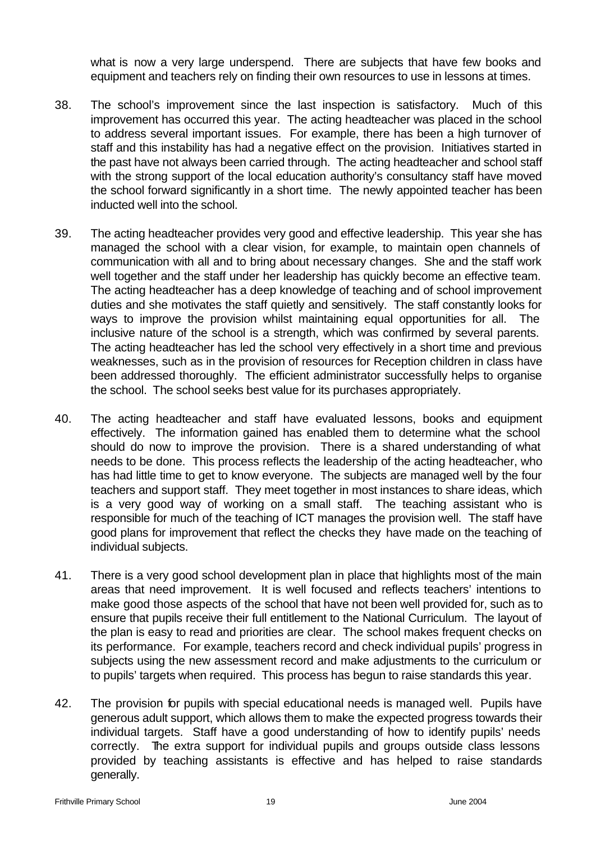what is now a very large underspend. There are subjects that have few books and equipment and teachers rely on finding their own resources to use in lessons at times.

- 38. The school's improvement since the last inspection is satisfactory. Much of this improvement has occurred this year. The acting headteacher was placed in the school to address several important issues. For example, there has been a high turnover of staff and this instability has had a negative effect on the provision. Initiatives started in the past have not always been carried through. The acting headteacher and school staff with the strong support of the local education authority's consultancy staff have moved the school forward significantly in a short time. The newly appointed teacher has been inducted well into the school.
- 39. The acting headteacher provides very good and effective leadership. This year she has managed the school with a clear vision, for example, to maintain open channels of communication with all and to bring about necessary changes. She and the staff work well together and the staff under her leadership has quickly become an effective team. The acting headteacher has a deep knowledge of teaching and of school improvement duties and she motivates the staff quietly and sensitively. The staff constantly looks for ways to improve the provision whilst maintaining equal opportunities for all. The inclusive nature of the school is a strength, which was confirmed by several parents. The acting headteacher has led the school very effectively in a short time and previous weaknesses, such as in the provision of resources for Reception children in class have been addressed thoroughly. The efficient administrator successfully helps to organise the school. The school seeks best value for its purchases appropriately.
- 40. The acting headteacher and staff have evaluated lessons, books and equipment effectively. The information gained has enabled them to determine what the school should do now to improve the provision. There is a shared understanding of what needs to be done. This process reflects the leadership of the acting headteacher, who has had little time to get to know everyone. The subjects are managed well by the four teachers and support staff. They meet together in most instances to share ideas, which is a very good way of working on a small staff. The teaching assistant who is responsible for much of the teaching of ICT manages the provision well. The staff have good plans for improvement that reflect the checks they have made on the teaching of individual subjects.
- 41. There is a very good school development plan in place that highlights most of the main areas that need improvement. It is well focused and reflects teachers' intentions to make good those aspects of the school that have not been well provided for, such as to ensure that pupils receive their full entitlement to the National Curriculum. The layout of the plan is easy to read and priorities are clear. The school makes frequent checks on its performance. For example, teachers record and check individual pupils' progress in subjects using the new assessment record and make adjustments to the curriculum or to pupils' targets when required. This process has begun to raise standards this year.
- 42. The provision for pupils with special educational needs is managed well. Pupils have generous adult support, which allows them to make the expected progress towards their individual targets. Staff have a good understanding of how to identify pupils' needs correctly. The extra support for individual pupils and groups outside class lessons provided by teaching assistants is effective and has helped to raise standards generally.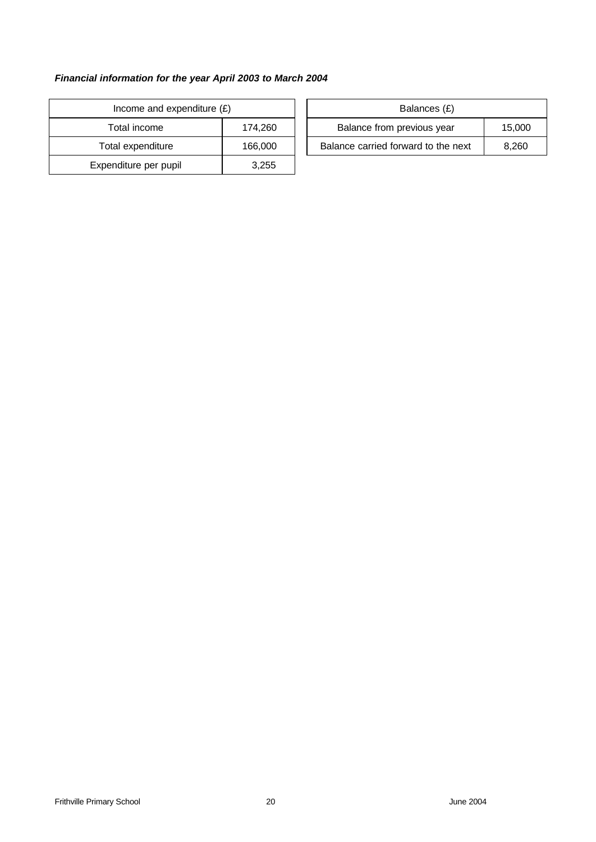## *Financial information for the year April 2003 to March 2004*

| Income and expenditure $(E)$ |         | Balances (£)                     |
|------------------------------|---------|----------------------------------|
| Total income                 | 174,260 | Balance from previous year       |
| Total expenditure            | 166,000 | Balance carried forward to the i |
| Expenditure per pupil        | 3,255   |                                  |

| Income and expenditure $(E)$ |         | Balances (£)                        |        |  |
|------------------------------|---------|-------------------------------------|--------|--|
| Total income                 | 174.260 | Balance from previous year          | 15.000 |  |
| Total expenditure            | 166,000 | Balance carried forward to the next | 8.260  |  |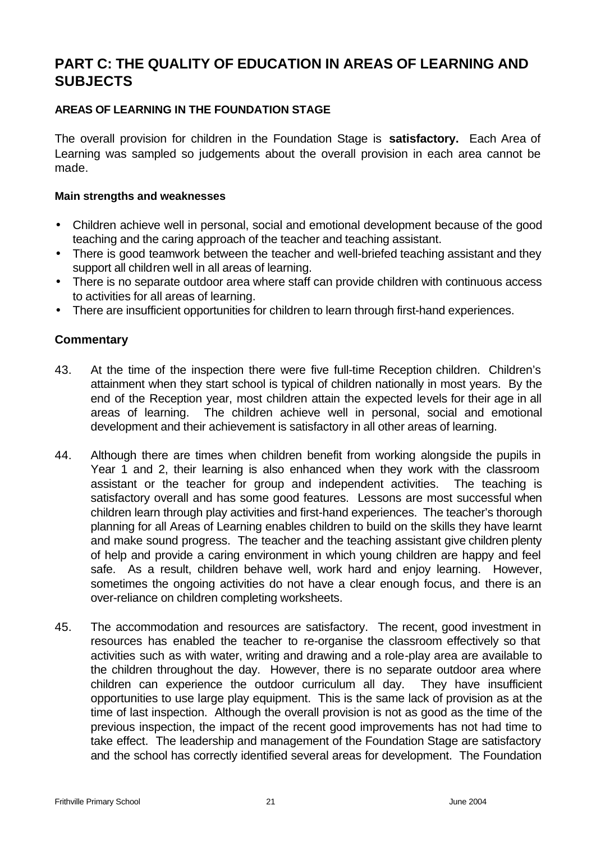# **PART C: THE QUALITY OF EDUCATION IN AREAS OF LEARNING AND SUBJECTS**

## **AREAS OF LEARNING IN THE FOUNDATION STAGE**

The overall provision for children in the Foundation Stage is **satisfactory.** Each Area of Learning was sampled so judgements about the overall provision in each area cannot be made.

#### **Main strengths and weaknesses**

- Children achieve well in personal, social and emotional development because of the good teaching and the caring approach of the teacher and teaching assistant.
- There is good teamwork between the teacher and well-briefed teaching assistant and they support all children well in all areas of learning.
- There is no separate outdoor area where staff can provide children with continuous access to activities for all areas of learning.
- There are insufficient opportunities for children to learn through first-hand experiences.

- 43. At the time of the inspection there were five full-time Reception children. Children's attainment when they start school is typical of children nationally in most years. By the end of the Reception year, most children attain the expected levels for their age in all areas of learning. The children achieve well in personal, social and emotional development and their achievement is satisfactory in all other areas of learning.
- 44. Although there are times when children benefit from working alongside the pupils in Year 1 and 2, their learning is also enhanced when they work with the classroom assistant or the teacher for group and independent activities. The teaching is satisfactory overall and has some good features. Lessons are most successful when children learn through play activities and first-hand experiences. The teacher's thorough planning for all Areas of Learning enables children to build on the skills they have learnt and make sound progress. The teacher and the teaching assistant give children plenty of help and provide a caring environment in which young children are happy and feel safe. As a result, children behave well, work hard and enjoy learning. However, sometimes the ongoing activities do not have a clear enough focus, and there is an over-reliance on children completing worksheets.
- 45. The accommodation and resources are satisfactory.The recent, good investment in resources has enabled the teacher to re-organise the classroom effectively so that activities such as with water, writing and drawing and a role-play area are available to the children throughout the day. However, there is no separate outdoor area where children can experience the outdoor curriculum all day. They have insufficient opportunities to use large play equipment. This is the same lack of provision as at the time of last inspection. Although the overall provision is not as good as the time of the previous inspection, the impact of the recent good improvements has not had time to take effect. The leadership and management of the Foundation Stage are satisfactory and the school has correctly identified several areas for development. The Foundation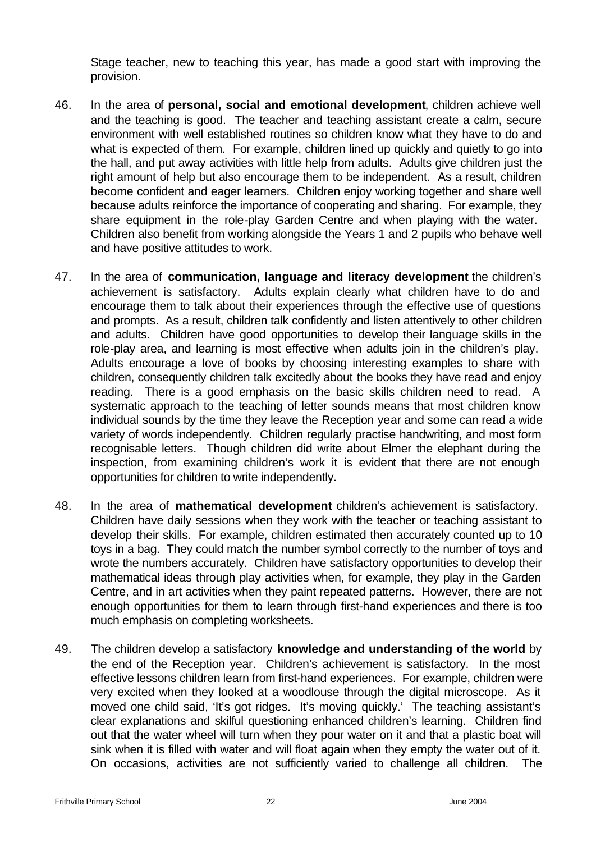Stage teacher, new to teaching this year, has made a good start with improving the provision.

- 46. In the area of **personal, social and emotional development**, children achieve well and the teaching is good. The teacher and teaching assistant create a calm, secure environment with well established routines so children know what they have to do and what is expected of them. For example, children lined up quickly and quietly to go into the hall, and put away activities with little help from adults. Adults give children just the right amount of help but also encourage them to be independent. As a result, children become confident and eager learners. Children enjoy working together and share well because adults reinforce the importance of cooperating and sharing. For example, they share equipment in the role-play Garden Centre and when playing with the water. Children also benefit from working alongside the Years 1 and 2 pupils who behave well and have positive attitudes to work.
- 47. In the area of **communication, language and literacy development** the children's achievement is satisfactory. Adults explain clearly what children have to do and encourage them to talk about their experiences through the effective use of questions and prompts. As a result, children talk confidently and listen attentively to other children and adults. Children have good opportunities to develop their language skills in the role-play area, and learning is most effective when adults join in the children's play. Adults encourage a love of books by choosing interesting examples to share with children, consequently children talk excitedly about the books they have read and enjoy reading. There is a good emphasis on the basic skills children need to read. A systematic approach to the teaching of letter sounds means that most children know individual sounds by the time they leave the Reception year and some can read a wide variety of words independently. Children regularly practise handwriting, and most form recognisable letters. Though children did write about Elmer the elephant during the inspection, from examining children's work it is evident that there are not enough opportunities for children to write independently.
- 48. In the area of **mathematical development** children's achievement is satisfactory. Children have daily sessions when they work with the teacher or teaching assistant to develop their skills. For example, children estimated then accurately counted up to 10 toys in a bag. They could match the number symbol correctly to the number of toys and wrote the numbers accurately. Children have satisfactory opportunities to develop their mathematical ideas through play activities when, for example, they play in the Garden Centre, and in art activities when they paint repeated patterns. However, there are not enough opportunities for them to learn through first-hand experiences and there is too much emphasis on completing worksheets.
- 49. The children develop a satisfactory **knowledge and understanding of the world** by the end of the Reception year. Children's achievement is satisfactory. In the most effective lessons children learn from first-hand experiences. For example, children were very excited when they looked at a woodlouse through the digital microscope. As it moved one child said, 'It's got ridges. It's moving quickly.' The teaching assistant's clear explanations and skilful questioning enhanced children's learning. Children find out that the water wheel will turn when they pour water on it and that a plastic boat will sink when it is filled with water and will float again when they empty the water out of it. On occasions, activities are not sufficiently varied to challenge all children. The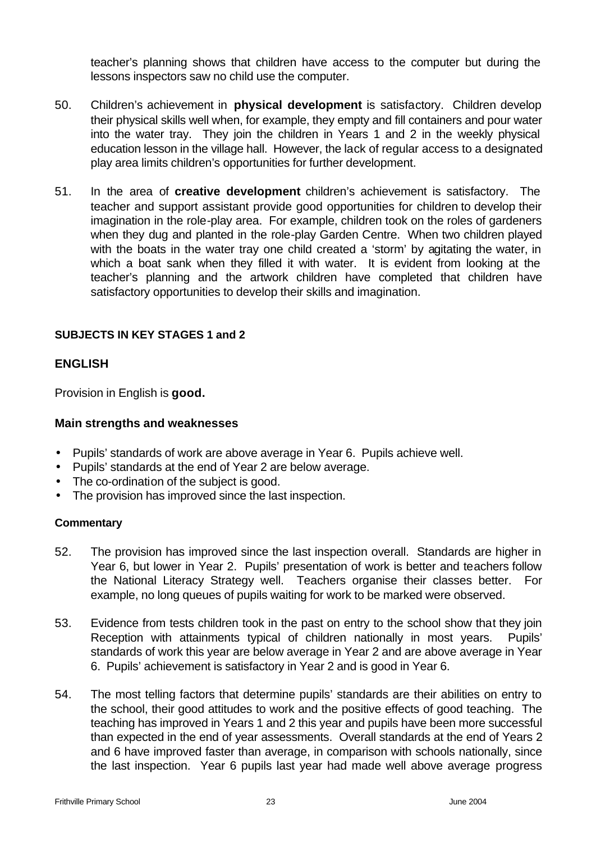teacher's planning shows that children have access to the computer but during the lessons inspectors saw no child use the computer.

- 50. Children's achievement in **physical development** is satisfactory. Children develop their physical skills well when, for example, they empty and fill containers and pour water into the water tray. They join the children in Years 1 and 2 in the weekly physical education lesson in the village hall. However, the lack of regular access to a designated play area limits children's opportunities for further development.
- 51. In the area of **creative development** children's achievement is satisfactory. The teacher and support assistant provide good opportunities for children to develop their imagination in the role-play area. For example, children took on the roles of gardeners when they dug and planted in the role-play Garden Centre. When two children played with the boats in the water tray one child created a 'storm' by agitating the water, in which a boat sank when they filled it with water. It is evident from looking at the teacher's planning and the artwork children have completed that children have satisfactory opportunities to develop their skills and imagination.

#### **SUBJECTS IN KEY STAGES 1 and 2**

### **ENGLISH**

Provision in English is **good.**

#### **Main strengths and weaknesses**

- Pupils' standards of work are above average in Year 6. Pupils achieve well.
- Pupils' standards at the end of Year 2 are below average.
- The co-ordination of the subject is good.
- The provision has improved since the last inspection.

- 52. The provision has improved since the last inspection overall. Standards are higher in Year 6, but lower in Year 2. Pupils' presentation of work is better and teachers follow the National Literacy Strategy well. Teachers organise their classes better. For example, no long queues of pupils waiting for work to be marked were observed.
- 53. Evidence from tests children took in the past on entry to the school show that they join Reception with attainments typical of children nationally in most years. Pupils' standards of work this year are below average in Year 2 and are above average in Year 6. Pupils' achievement is satisfactory in Year 2 and is good in Year 6.
- 54. The most telling factors that determine pupils' standards are their abilities on entry to the school, their good attitudes to work and the positive effects of good teaching. The teaching has improved in Years 1 and 2 this year and pupils have been more successful than expected in the end of year assessments. Overall standards at the end of Years 2 and 6 have improved faster than average, in comparison with schools nationally, since the last inspection. Year 6 pupils last year had made well above average progress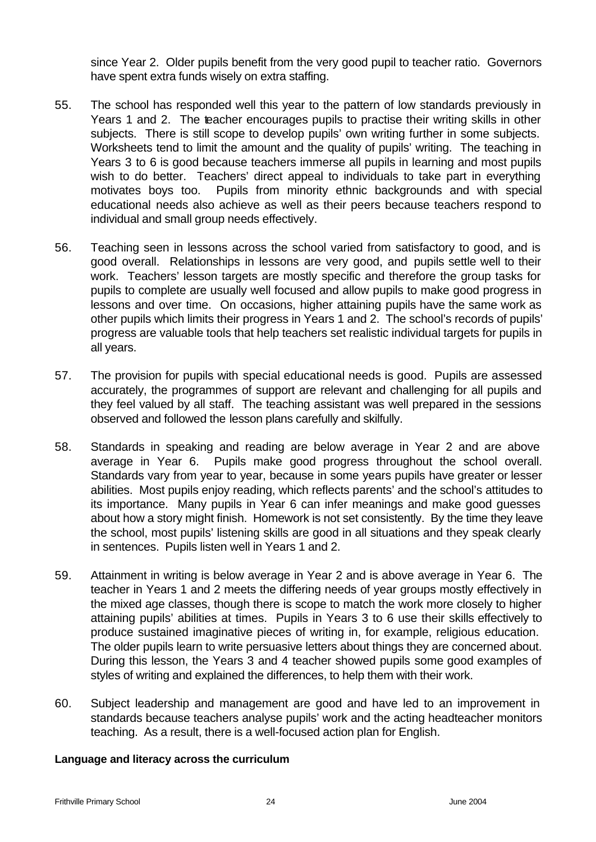since Year 2. Older pupils benefit from the very good pupil to teacher ratio. Governors have spent extra funds wisely on extra staffing.

- 55. The school has responded well this year to the pattern of low standards previously in Years 1 and 2. The teacher encourages pupils to practise their writing skills in other subjects. There is still scope to develop pupils' own writing further in some subjects. Worksheets tend to limit the amount and the quality of pupils' writing. The teaching in Years 3 to 6 is good because teachers immerse all pupils in learning and most pupils wish to do better. Teachers' direct appeal to individuals to take part in everything motivates boys too. Pupils from minority ethnic backgrounds and with special educational needs also achieve as well as their peers because teachers respond to individual and small group needs effectively.
- 56. Teaching seen in lessons across the school varied from satisfactory to good, and is good overall. Relationships in lessons are very good, and pupils settle well to their work. Teachers' lesson targets are mostly specific and therefore the group tasks for pupils to complete are usually well focused and allow pupils to make good progress in lessons and over time. On occasions, higher attaining pupils have the same work as other pupils which limits their progress in Years 1 and 2. The school's records of pupils' progress are valuable tools that help teachers set realistic individual targets for pupils in all years.
- 57. The provision for pupils with special educational needs is good. Pupils are assessed accurately, the programmes of support are relevant and challenging for all pupils and they feel valued by all staff. The teaching assistant was well prepared in the sessions observed and followed the lesson plans carefully and skilfully.
- 58. Standards in speaking and reading are below average in Year 2 and are above average in Year 6. Pupils make good progress throughout the school overall. Standards vary from year to year, because in some years pupils have greater or lesser abilities. Most pupils enjoy reading, which reflects parents' and the school's attitudes to its importance. Many pupils in Year 6 can infer meanings and make good guesses about how a story might finish. Homework is not set consistently. By the time they leave the school, most pupils' listening skills are good in all situations and they speak clearly in sentences. Pupils listen well in Years 1 and 2.
- 59. Attainment in writing is below average in Year 2 and is above average in Year 6. The teacher in Years 1 and 2 meets the differing needs of year groups mostly effectively in the mixed age classes, though there is scope to match the work more closely to higher attaining pupils' abilities at times. Pupils in Years 3 to 6 use their skills effectively to produce sustained imaginative pieces of writing in, for example, religious education. The older pupils learn to write persuasive letters about things they are concerned about. During this lesson, the Years 3 and 4 teacher showed pupils some good examples of styles of writing and explained the differences, to help them with their work.
- 60. Subject leadership and management are good and have led to an improvement in standards because teachers analyse pupils' work and the acting headteacher monitors teaching. As a result, there is a well-focused action plan for English.

### **Language and literacy across the curriculum**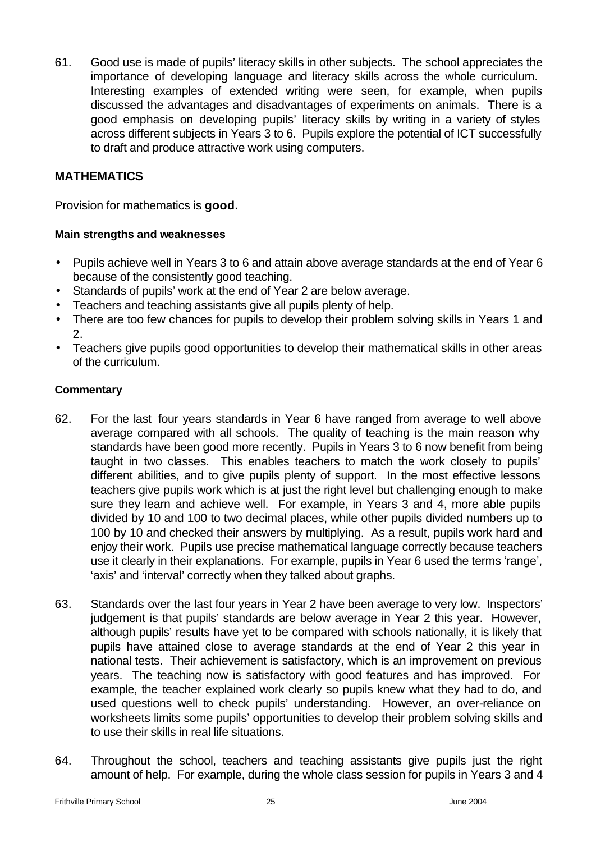61. Good use is made of pupils' literacy skills in other subjects. The school appreciates the importance of developing language and literacy skills across the whole curriculum. Interesting examples of extended writing were seen, for example, when pupils discussed the advantages and disadvantages of experiments on animals. There is a good emphasis on developing pupils' literacy skills by writing in a variety of styles across different subjects in Years 3 to 6. Pupils explore the potential of ICT successfully to draft and produce attractive work using computers.

## **MATHEMATICS**

Provision for mathematics is **good.**

#### **Main strengths and weaknesses**

- Pupils achieve well in Years 3 to 6 and attain above average standards at the end of Year 6 because of the consistently good teaching.
- Standards of pupils' work at the end of Year 2 are below average.
- Teachers and teaching assistants give all pupils plenty of help.
- There are too few chances for pupils to develop their problem solving skills in Years 1 and 2.
- Teachers give pupils good opportunities to develop their mathematical skills in other areas of the curriculum.

- 62. For the last four years standards in Year 6 have ranged from average to well above average compared with all schools. The quality of teaching is the main reason why standards have been good more recently. Pupils in Years 3 to 6 now benefit from being taught in two classes. This enables teachers to match the work closely to pupils' different abilities, and to give pupils plenty of support. In the most effective lessons teachers give pupils work which is at just the right level but challenging enough to make sure they learn and achieve well. For example, in Years 3 and 4, more able pupils divided by 10 and 100 to two decimal places, while other pupils divided numbers up to 100 by 10 and checked their answers by multiplying. As a result, pupils work hard and enjoy their work. Pupils use precise mathematical language correctly because teachers use it clearly in their explanations. For example, pupils in Year 6 used the terms 'range', 'axis' and 'interval' correctly when they talked about graphs.
- 63. Standards over the last four years in Year 2 have been average to very low. Inspectors' judgement is that pupils' standards are below average in Year 2 this year. However, although pupils' results have yet to be compared with schools nationally, it is likely that pupils have attained close to average standards at the end of Year 2 this year in national tests. Their achievement is satisfactory, which is an improvement on previous years. The teaching now is satisfactory with good features and has improved. For example, the teacher explained work clearly so pupils knew what they had to do, and used questions well to check pupils' understanding. However, an over-reliance on worksheets limits some pupils' opportunities to develop their problem solving skills and to use their skills in real life situations.
- 64. Throughout the school, teachers and teaching assistants give pupils just the right amount of help. For example, during the whole class session for pupils in Years 3 and 4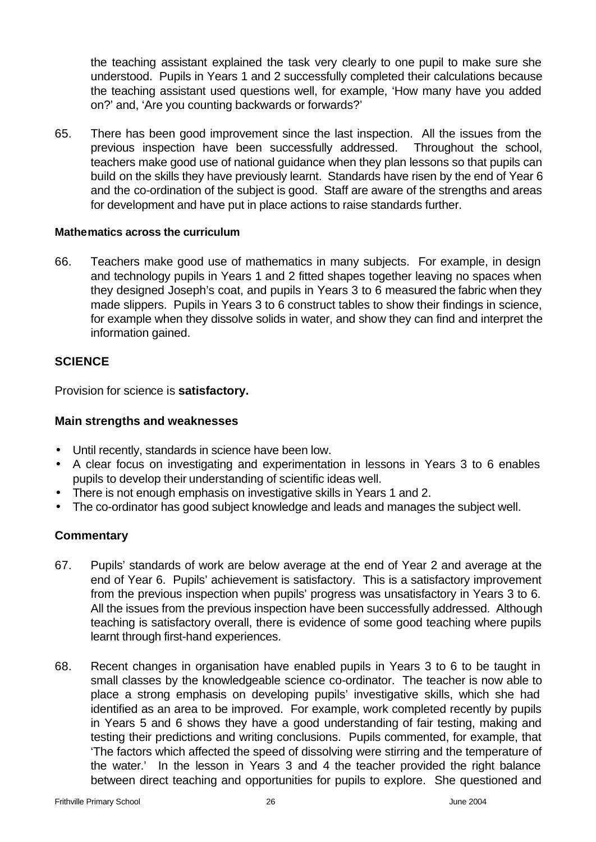the teaching assistant explained the task very clearly to one pupil to make sure she understood. Pupils in Years 1 and 2 successfully completed their calculations because the teaching assistant used questions well, for example, 'How many have you added on?' and, 'Are you counting backwards or forwards?'

65. There has been good improvement since the last inspection. All the issues from the previous inspection have been successfully addressed. Throughout the school, teachers make good use of national guidance when they plan lessons so that pupils can build on the skills they have previously learnt. Standards have risen by the end of Year 6 and the co-ordination of the subject is good. Staff are aware of the strengths and areas for development and have put in place actions to raise standards further.

#### **Mathematics across the curriculum**

66. Teachers make good use of mathematics in many subjects. For example, in design and technology pupils in Years 1 and 2 fitted shapes together leaving no spaces when they designed Joseph's coat, and pupils in Years 3 to 6 measured the fabric when they made slippers. Pupils in Years 3 to 6 construct tables to show their findings in science, for example when they dissolve solids in water, and show they can find and interpret the information gained.

# **SCIENCE**

Provision for science is **satisfactory.**

## **Main strengths and weaknesses**

- Until recently, standards in science have been low.
- A clear focus on investigating and experimentation in lessons in Years 3 to 6 enables pupils to develop their understanding of scientific ideas well.
- There is not enough emphasis on investigative skills in Years 1 and 2.
- The co-ordinator has good subject knowledge and leads and manages the subject well.

- 67. Pupils' standards of work are below average at the end of Year 2 and average at the end of Year 6. Pupils' achievement is satisfactory. This is a satisfactory improvement from the previous inspection when pupils' progress was unsatisfactory in Years 3 to 6. All the issues from the previous inspection have been successfully addressed. Although teaching is satisfactory overall, there is evidence of some good teaching where pupils learnt through first-hand experiences.
- 68. Recent changes in organisation have enabled pupils in Years 3 to 6 to be taught in small classes by the knowledgeable science co-ordinator. The teacher is now able to place a strong emphasis on developing pupils' investigative skills, which she had identified as an area to be improved. For example, work completed recently by pupils in Years 5 and 6 shows they have a good understanding of fair testing, making and testing their predictions and writing conclusions. Pupils commented, for example, that 'The factors which affected the speed of dissolving were stirring and the temperature of the water.' In the lesson in Years 3 and 4 the teacher provided the right balance between direct teaching and opportunities for pupils to explore. She questioned and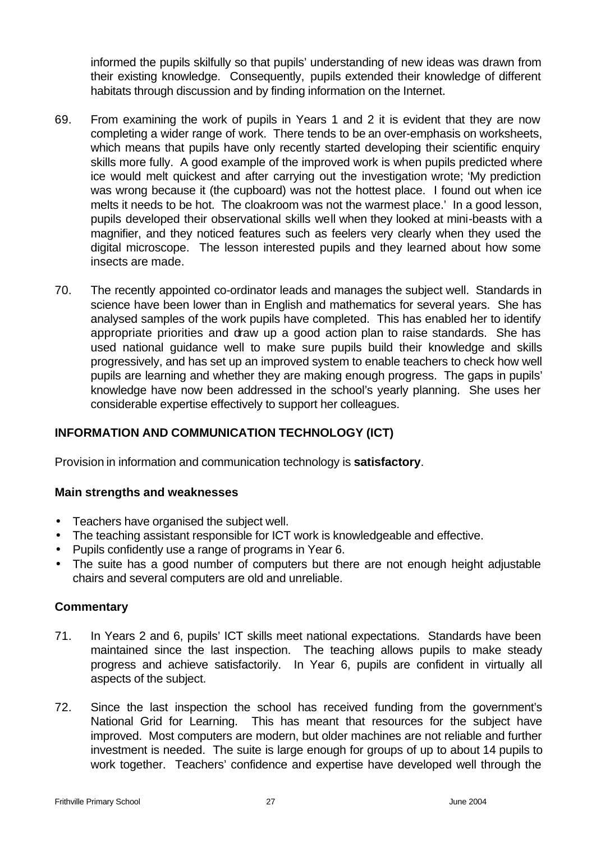informed the pupils skilfully so that pupils' understanding of new ideas was drawn from their existing knowledge. Consequently, pupils extended their knowledge of different habitats through discussion and by finding information on the Internet.

- 69. From examining the work of pupils in Years 1 and 2 it is evident that they are now completing a wider range of work. There tends to be an over-emphasis on worksheets, which means that pupils have only recently started developing their scientific enquiry skills more fully. A good example of the improved work is when pupils predicted where ice would melt quickest and after carrying out the investigation wrote; 'My prediction was wrong because it (the cupboard) was not the hottest place. I found out when ice melts it needs to be hot. The cloakroom was not the warmest place.' In a good lesson, pupils developed their observational skills well when they looked at mini-beasts with a magnifier, and they noticed features such as feelers very clearly when they used the digital microscope. The lesson interested pupils and they learned about how some insects are made.
- 70. The recently appointed co-ordinator leads and manages the subject well. Standards in science have been lower than in English and mathematics for several years. She has analysed samples of the work pupils have completed. This has enabled her to identify appropriate priorities and draw up a good action plan to raise standards. She has used national guidance well to make sure pupils build their knowledge and skills progressively, and has set up an improved system to enable teachers to check how well pupils are learning and whether they are making enough progress. The gaps in pupils' knowledge have now been addressed in the school's yearly planning. She uses her considerable expertise effectively to support her colleagues.

# **INFORMATION AND COMMUNICATION TECHNOLOGY (ICT)**

Provision in information and communication technology is **satisfactory**.

### **Main strengths and weaknesses**

- Teachers have organised the subject well.
- The teaching assistant responsible for ICT work is knowledgeable and effective.
- Pupils confidently use a range of programs in Year 6.
- The suite has a good number of computers but there are not enough height adjustable chairs and several computers are old and unreliable.

- 71. In Years 2 and 6, pupils' ICT skills meet national expectations. Standards have been maintained since the last inspection. The teaching allows pupils to make steady progress and achieve satisfactorily. In Year 6, pupils are confident in virtually all aspects of the subject.
- 72. Since the last inspection the school has received funding from the government's National Grid for Learning. This has meant that resources for the subject have improved. Most computers are modern, but older machines are not reliable and further investment is needed. The suite is large enough for groups of up to about 14 pupils to work together. Teachers' confidence and expertise have developed well through the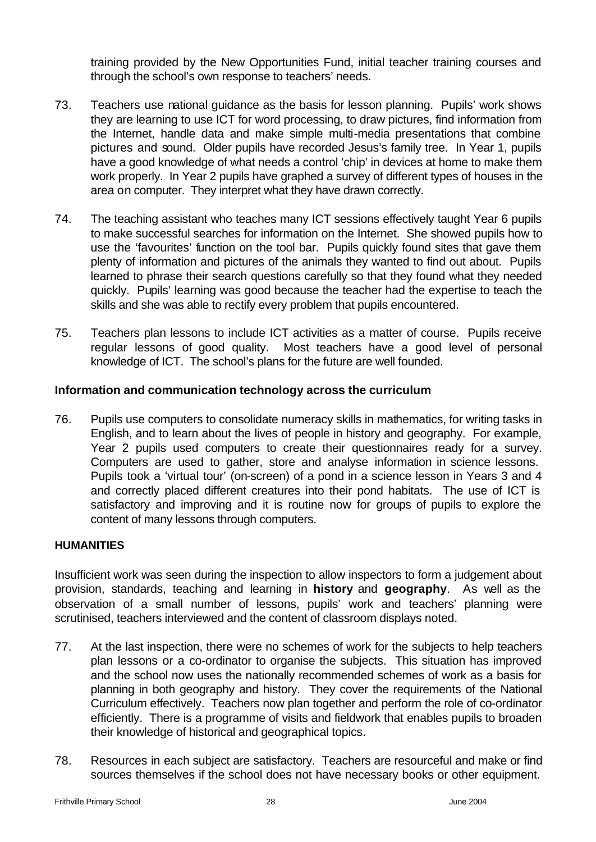training provided by the New Opportunities Fund, initial teacher training courses and through the school's own response to teachers' needs.

- 73. Teachers use national guidance as the basis for lesson planning. Pupils' work shows they are learning to use ICT for word processing, to draw pictures, find information from the Internet, handle data and make simple multi-media presentations that combine pictures and sound. Older pupils have recorded Jesus's family tree. In Year 1, pupils have a good knowledge of what needs a control 'chip' in devices at home to make them work properly. In Year 2 pupils have graphed a survey of different types of houses in the area on computer. They interpret what they have drawn correctly.
- 74. The teaching assistant who teaches many ICT sessions effectively taught Year 6 pupils to make successful searches for information on the Internet. She showed pupils how to use the 'favourites' function on the tool bar. Pupils quickly found sites that gave them plenty of information and pictures of the animals they wanted to find out about. Pupils learned to phrase their search questions carefully so that they found what they needed quickly. Pupils' learning was good because the teacher had the expertise to teach the skills and she was able to rectify every problem that pupils encountered.
- 75. Teachers plan lessons to include ICT activities as a matter of course. Pupils receive regular lessons of good quality. Most teachers have a good level of personal knowledge of ICT. The school's plans for the future are well founded.

## **Information and communication technology across the curriculum**

76. Pupils use computers to consolidate numeracy skills in mathematics, for writing tasks in English, and to learn about the lives of people in history and geography. For example, Year 2 pupils used computers to create their questionnaires ready for a survey. Computers are used to gather, store and analyse information in science lessons. Pupils took a 'virtual tour' (on-screen) of a pond in a science lesson in Years 3 and 4 and correctly placed different creatures into their pond habitats. The use of ICT is satisfactory and improving and it is routine now for groups of pupils to explore the content of many lessons through computers.

### **HUMANITIES**

Insufficient work was seen during the inspection to allow inspectors to form a judgement about provision, standards, teaching and learning in **history** and **geography**. As well as the observation of a small number of lessons, pupils' work and teachers' planning were scrutinised, teachers interviewed and the content of classroom displays noted.

- 77. At the last inspection, there were no schemes of work for the subjects to help teachers plan lessons or a co-ordinator to organise the subjects. This situation has improved and the school now uses the nationally recommended schemes of work as a basis for planning in both geography and history. They cover the requirements of the National Curriculum effectively. Teachers now plan together and perform the role of co-ordinator efficiently. There is a programme of visits and fieldwork that enables pupils to broaden their knowledge of historical and geographical topics.
- 78. Resources in each subject are satisfactory. Teachers are resourceful and make or find sources themselves if the school does not have necessary books or other equipment.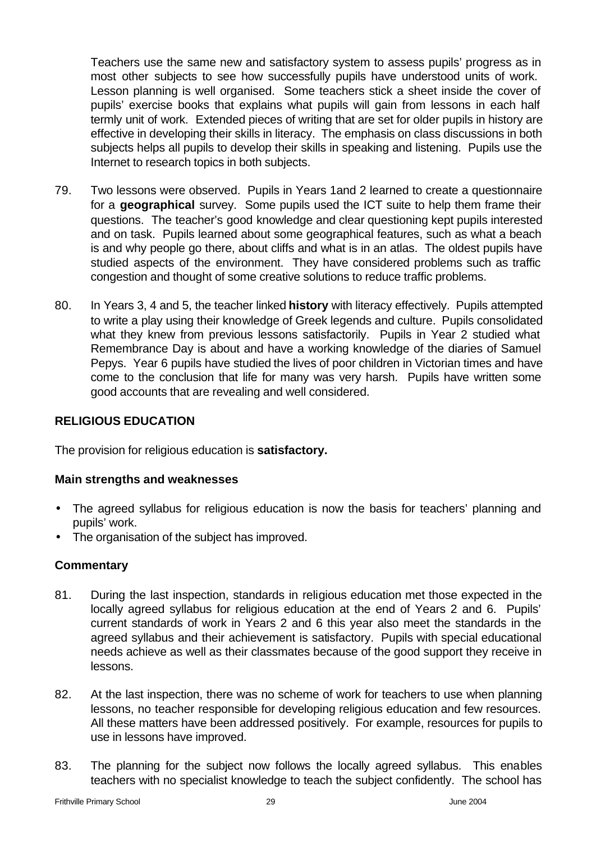Teachers use the same new and satisfactory system to assess pupils' progress as in most other subjects to see how successfully pupils have understood units of work. Lesson planning is well organised. Some teachers stick a sheet inside the cover of pupils' exercise books that explains what pupils will gain from lessons in each half termly unit of work. Extended pieces of writing that are set for older pupils in history are effective in developing their skills in literacy. The emphasis on class discussions in both subjects helps all pupils to develop their skills in speaking and listening. Pupils use the Internet to research topics in both subjects.

- 79. Two lessons were observed. Pupils in Years 1and 2 learned to create a questionnaire for a **geographical** survey. Some pupils used the ICT suite to help them frame their questions. The teacher's good knowledge and clear questioning kept pupils interested and on task. Pupils learned about some geographical features, such as what a beach is and why people go there, about cliffs and what is in an atlas. The oldest pupils have studied aspects of the environment. They have considered problems such as traffic congestion and thought of some creative solutions to reduce traffic problems.
- 80. In Years 3, 4 and 5, the teacher linked **history** with literacy effectively. Pupils attempted to write a play using their knowledge of Greek legends and culture. Pupils consolidated what they knew from previous lessons satisfactorily. Pupils in Year 2 studied what Remembrance Day is about and have a working knowledge of the diaries of Samuel Pepys. Year 6 pupils have studied the lives of poor children in Victorian times and have come to the conclusion that life for many was very harsh. Pupils have written some good accounts that are revealing and well considered.

## **RELIGIOUS EDUCATION**

The provision for religious education is **satisfactory.**

#### **Main strengths and weaknesses**

- The agreed syllabus for religious education is now the basis for teachers' planning and pupils' work.
- The organisation of the subject has improved.

- 81. During the last inspection, standards in religious education met those expected in the locally agreed syllabus for religious education at the end of Years 2 and 6. Pupils' current standards of work in Years 2 and 6 this year also meet the standards in the agreed syllabus and their achievement is satisfactory. Pupils with special educational needs achieve as well as their classmates because of the good support they receive in lessons.
- 82. At the last inspection, there was no scheme of work for teachers to use when planning lessons, no teacher responsible for developing religious education and few resources. All these matters have been addressed positively. For example, resources for pupils to use in lessons have improved.
- 83. The planning for the subject now follows the locally agreed syllabus. This enables teachers with no specialist knowledge to teach the subject confidently. The school has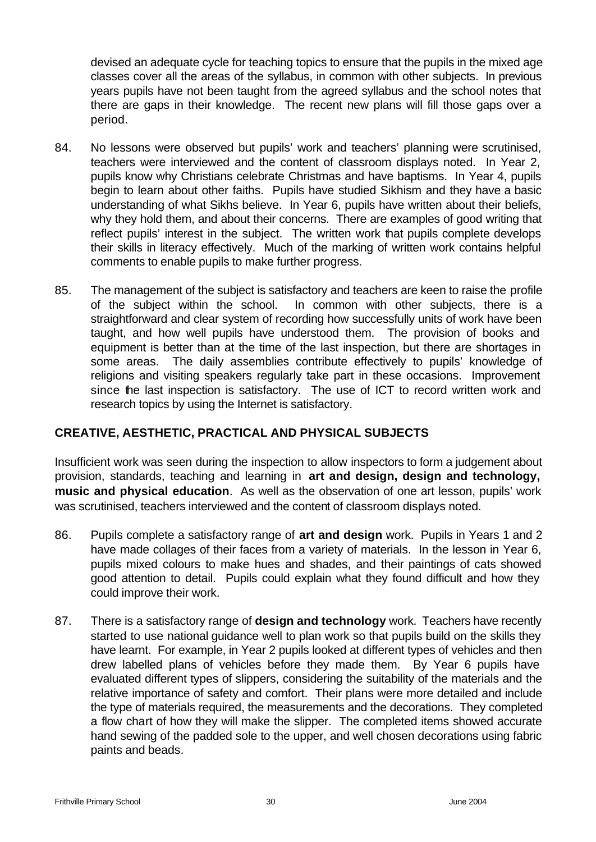devised an adequate cycle for teaching topics to ensure that the pupils in the mixed age classes cover all the areas of the syllabus, in common with other subjects. In previous years pupils have not been taught from the agreed syllabus and the school notes that there are gaps in their knowledge. The recent new plans will fill those gaps over a period.

- 84. No lessons were observed but pupils' work and teachers' planning were scrutinised, teachers were interviewed and the content of classroom displays noted. In Year 2, pupils know why Christians celebrate Christmas and have baptisms. In Year 4, pupils begin to learn about other faiths. Pupils have studied Sikhism and they have a basic understanding of what Sikhs believe. In Year 6, pupils have written about their beliefs, why they hold them, and about their concerns. There are examples of good writing that reflect pupils' interest in the subject. The written work that pupils complete develops their skills in literacy effectively. Much of the marking of written work contains helpful comments to enable pupils to make further progress.
- 85. The management of the subject is satisfactory and teachers are keen to raise the profile of the subject within the school. In common with other subjects, there is a straightforward and clear system of recording how successfully units of work have been taught, and how well pupils have understood them. The provision of books and equipment is better than at the time of the last inspection, but there are shortages in some areas. The daily assemblies contribute effectively to pupils' knowledge of religions and visiting speakers regularly take part in these occasions. Improvement since the last inspection is satisfactory. The use of ICT to record written work and research topics by using the Internet is satisfactory.

# **CREATIVE, AESTHETIC, PRACTICAL AND PHYSICAL SUBJECTS**

Insufficient work was seen during the inspection to allow inspectors to form a judgement about provision, standards, teaching and learning in **art and design, design and technology, music and physical education**. As well as the observation of one art lesson, pupils' work was scrutinised, teachers interviewed and the content of classroom displays noted.

- 86. Pupils complete a satisfactory range of **art and design** work. Pupils in Years 1 and 2 have made collages of their faces from a variety of materials. In the lesson in Year 6, pupils mixed colours to make hues and shades, and their paintings of cats showed good attention to detail. Pupils could explain what they found difficult and how they could improve their work.
- 87. There is a satisfactory range of **design and technology** work. Teachers have recently started to use national guidance well to plan work so that pupils build on the skills they have learnt. For example, in Year 2 pupils looked at different types of vehicles and then drew labelled plans of vehicles before they made them. By Year 6 pupils have evaluated different types of slippers, considering the suitability of the materials and the relative importance of safety and comfort. Their plans were more detailed and include the type of materials required, the measurements and the decorations. They completed a flow chart of how they will make the slipper. The completed items showed accurate hand sewing of the padded sole to the upper, and well chosen decorations using fabric paints and beads.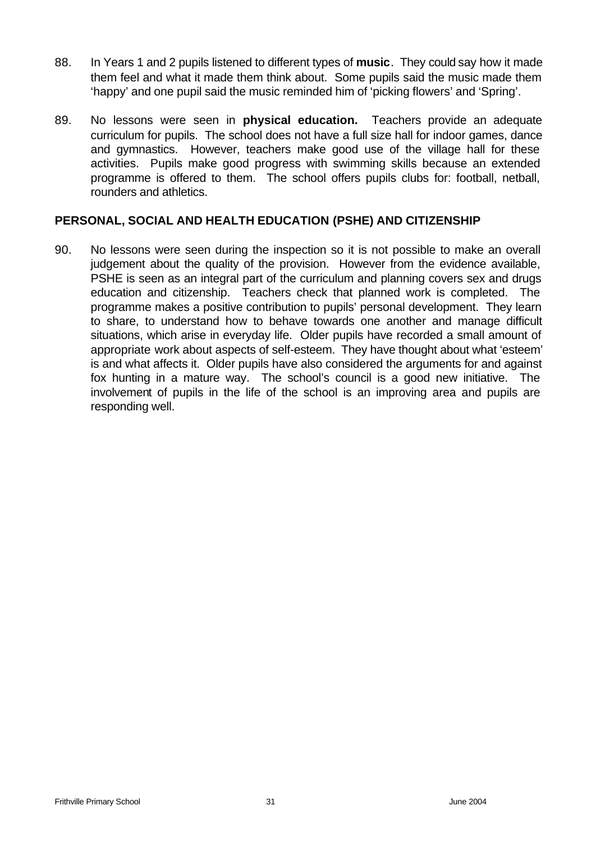- 88. In Years 1 and 2 pupils listened to different types of **music**. They could say how it made them feel and what it made them think about. Some pupils said the music made them 'happy' and one pupil said the music reminded him of 'picking flowers' and 'Spring'.
- 89. No lessons were seen in **physical education.** Teachers provide an adequate curriculum for pupils. The school does not have a full size hall for indoor games, dance and gymnastics. However, teachers make good use of the village hall for these activities. Pupils make good progress with swimming skills because an extended programme is offered to them. The school offers pupils clubs for: football, netball, rounders and athletics.

## **PERSONAL, SOCIAL AND HEALTH EDUCATION (PSHE) AND CITIZENSHIP**

90. No lessons were seen during the inspection so it is not possible to make an overall judgement about the quality of the provision. However from the evidence available, PSHE is seen as an integral part of the curriculum and planning covers sex and drugs education and citizenship. Teachers check that planned work is completed. The programme makes a positive contribution to pupils' personal development. They learn to share, to understand how to behave towards one another and manage difficult situations, which arise in everyday life. Older pupils have recorded a small amount of appropriate work about aspects of self-esteem. They have thought about what 'esteem' is and what affects it. Older pupils have also considered the arguments for and against fox hunting in a mature way. The school's council is a good new initiative. The involvement of pupils in the life of the school is an improving area and pupils are responding well.